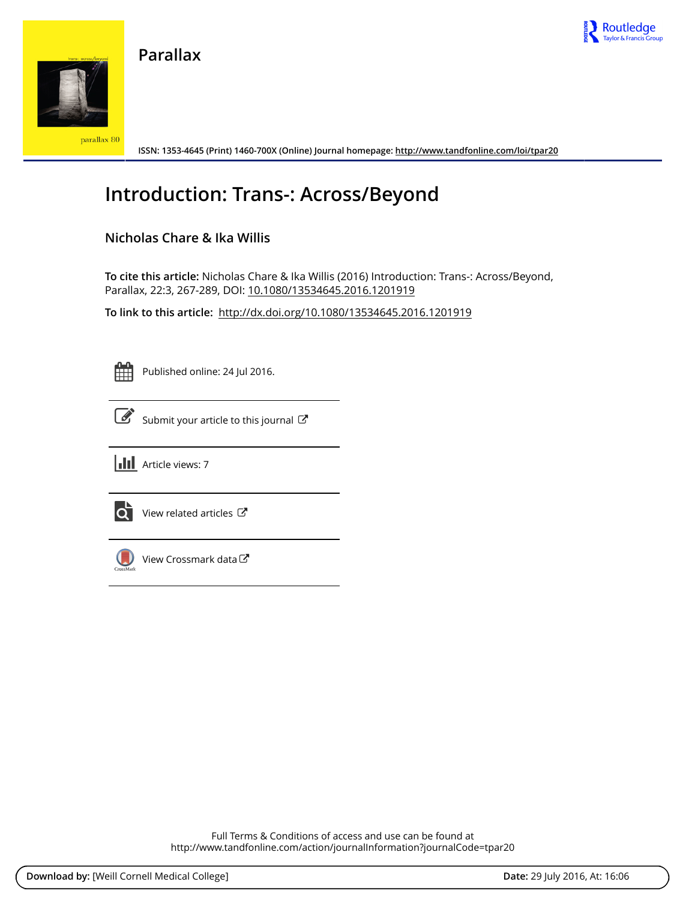

**Parallax**



**ISSN: 1353-4645 (Print) 1460-700X (Online) Journal homepage: <http://www.tandfonline.com/loi/tpar20>**

# **Introduction: Trans-: Across/Beyond**

# **Nicholas Chare & Ika Willis**

**To cite this article:** Nicholas Chare & Ika Willis (2016) Introduction: Trans-: Across/Beyond, Parallax, 22:3, 267-289, DOI: [10.1080/13534645.2016.1201919](http://www.tandfonline.com/action/showCitFormats?doi=10.1080/13534645.2016.1201919)

**To link to this article:** <http://dx.doi.org/10.1080/13534645.2016.1201919>

Published online: 24 Jul 2016.



 $\overline{\mathscr{L}}$  [Submit your article to this journal](http://www.tandfonline.com/action/authorSubmission?journalCode=tpar20&page=instructions)  $\mathscr{L}$ 





 $\overrightarrow{Q}$  [View related articles](http://www.tandfonline.com/doi/mlt/10.1080/13534645.2016.1201919)  $\overrightarrow{C}$ 



[View Crossmark data](http://crossmark.crossref.org/dialog/?doi=10.1080/13534645.2016.1201919&domain=pdf&date_stamp=2016-07-24) $G$ 

Full Terms & Conditions of access and use can be found at <http://www.tandfonline.com/action/journalInformation?journalCode=tpar20>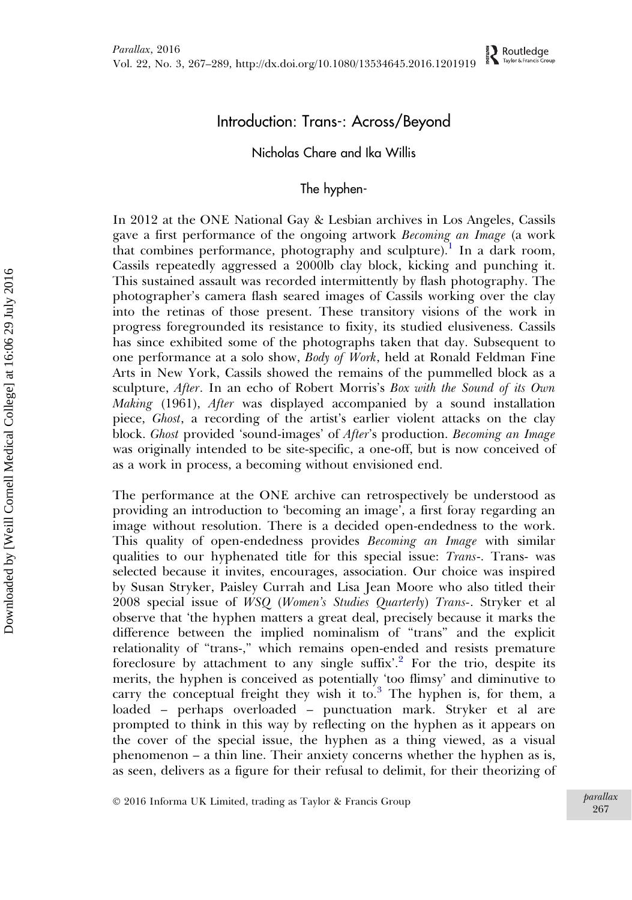# Introduction: Trans-: Across/Beyond

# Nicholas Chare and Ika Willis

# The hyphen-

In 2012 at the ONE National Gay & Lesbian archives in Los Angeles, Cassils gave a first performance of the ongoing artwork Becoming an Image (a work that combines performance, photography and sculpture).<sup>[1](#page-20-0)</sup> In a dark room, Cassils repeatedly aggressed a 2000lb clay block, kicking and punching it. This sustained assault was recorded intermittently by flash photography. The photographer's camera flash seared images of Cassils working over the clay into the retinas of those present. These transitory visions of the work in progress foregrounded its resistance to fixity, its studied elusiveness. Cassils has since exhibited some of the photographs taken that day. Subsequent to one performance at a solo show, Body of Work, held at Ronald Feldman Fine Arts in New York, Cassils showed the remains of the pummelled block as a sculpture, After. In an echo of Robert Morris's Box with the Sound of its Own Making (1961), After was displayed accompanied by a sound installation piece, Ghost, a recording of the artist's earlier violent attacks on the clay block. Ghost provided 'sound-images' of After's production. Becoming an Image was originally intended to be site-specific, a one-off, but is now conceived of as a work in process, a becoming without envisioned end.

The performance at the ONE archive can retrospectively be understood as providing an introduction to 'becoming an image', a first foray regarding an image without resolution. There is a decided open-endedness to the work. This quality of open-endedness provides Becoming an Image with similar qualities to our hyphenated title for this special issue: *Trans*. Trans- was selected because it invites, encourages, association. Our choice was inspired by Susan Stryker, Paisley Currah and Lisa Jean Moore who also titled their 2008 special issue of WSQ (Women's Studies Quarterly) Trans-. Stryker et al observe that 'the hyphen matters a great deal, precisely because it marks the difference between the implied nominalism of "trans" and the explicit relationality of "trans-," which remains open-ended and resists premature foreclosure by attachment to any single suffix'.<sup>[2](#page-20-0)</sup> For the trio, despite its merits, the hyphen is conceived as potentially 'too flimsy' and diminutive to carry the conceptual freight they wish it to. $3$  The hyphen is, for them, a loaded – perhaps overloaded – punctuation mark. Stryker et al are prompted to think in this way by reflecting on the hyphen as it appears on the cover of the special issue, the hyphen as a thing viewed, as a visual phenomenon – a thin line. Their anxiety concerns whether the hyphen as is, as seen, delivers as a figure for their refusal to delimit, for their theorizing of

2016 Informa UK Limited, trading as Taylor & Francis Group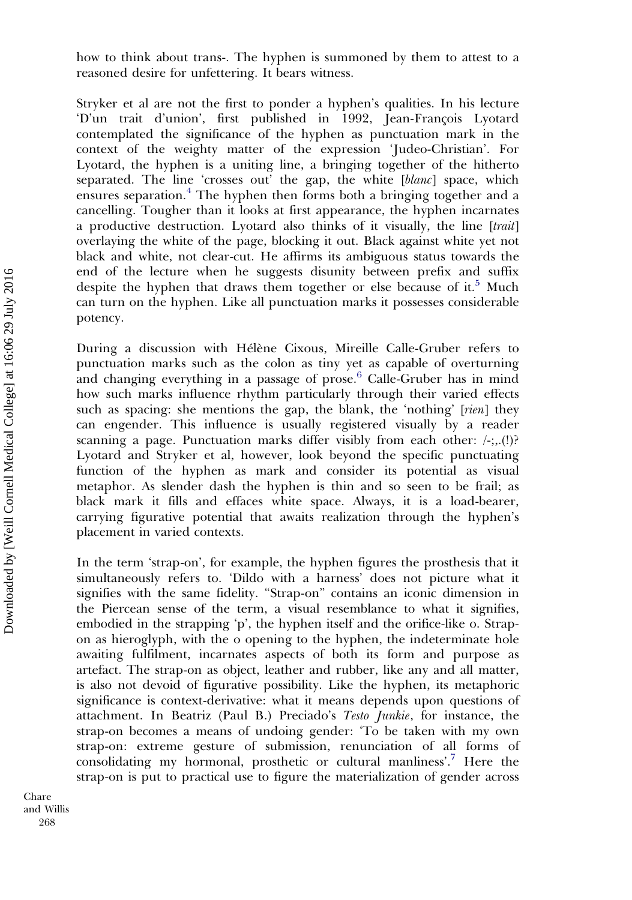how to think about trans-. The hyphen is summoned by them to attest to a reasoned desire for unfettering. It bears witness.

Stryker et al are not the first to ponder a hyphen's qualities. In his lecture 'D'un trait d'union', first published in 1992, Jean-François Lyotard contemplated the significance of the hyphen as punctuation mark in the context of the weighty matter of the expression 'Judeo-Christian'. For Lyotard, the hyphen is a uniting line, a bringing together of the hitherto separated. The line 'crosses out' the gap, the white [blanc] space, which ensures separation.<sup>[4](#page-20-0)</sup> The hyphen then forms both a bringing together and a cancelling. Tougher than it looks at first appearance, the hyphen incarnates a productive destruction. Lyotard also thinks of it visually, the line [trait] overlaying the white of the page, blocking it out. Black against white yet not black and white, not clear-cut. He affirms its ambiguous status towards the end of the lecture when he suggests disunity between prefix and suffix despite the hyphen that draws them together or else because of it.<sup>[5](#page-20-0)</sup> Much can turn on the hyphen. Like all punctuation marks it possesses considerable potency.

During a discussion with Hélène Cixous, Mireille Calle-Gruber refers to punctuation marks such as the colon as tiny yet as capable of overturning and changing everything in a passage of prose.<sup>[6](#page-20-0)</sup> Calle-Gruber has in mind how such marks influence rhythm particularly through their varied effects such as spacing: she mentions the gap, the blank, the 'nothing' [rien] they can engender. This influence is usually registered visually by a reader scanning a page. Punctuation marks differ visibly from each other:  $\langle -;,\ldots,1\rangle$ ? Lyotard and Stryker et al, however, look beyond the specific punctuating function of the hyphen as mark and consider its potential as visual metaphor. As slender dash the hyphen is thin and so seen to be frail; as black mark it fills and effaces white space. Always, it is a load-bearer, carrying figurative potential that awaits realization through the hyphen's placement in varied contexts.

In the term 'strap-on', for example, the hyphen figures the prosthesis that it simultaneously refers to. 'Dildo with a harness' does not picture what it signifies with the same fidelity. "Strap-on" contains an iconic dimension in the Piercean sense of the term, a visual resemblance to what it signifies, embodied in the strapping 'p', the hyphen itself and the orifice-like o. Strapon as hieroglyph, with the o opening to the hyphen, the indeterminate hole awaiting fulfilment, incarnates aspects of both its form and purpose as artefact. The strap-on as object, leather and rubber, like any and all matter, is also not devoid of figurative possibility. Like the hyphen, its metaphoric significance is context-derivative: what it means depends upon questions of attachment. In Beatriz (Paul B.) Preciado's Testo Junkie, for instance, the strap-on becomes a means of undoing gender: 'To be taken with my own strap-on: extreme gesture of submission, renunciation of all forms of consolidating my hormonal, prosthetic or cultural manliness'. [7](#page-20-0) Here the strap-on is put to practical use to figure the materialization of gender across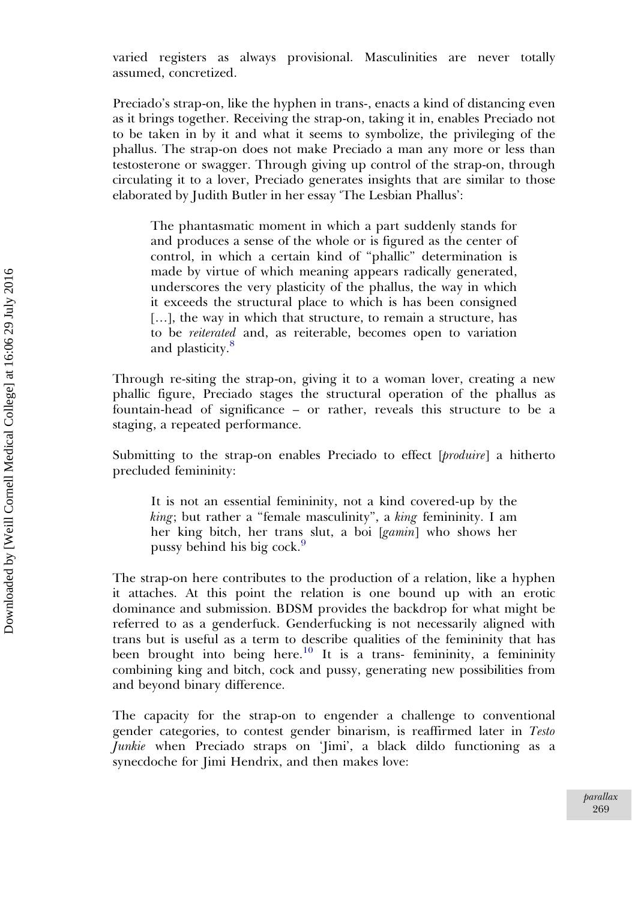varied registers as always provisional. Masculinities are never totally assumed, concretized.

Preciado's strap-on, like the hyphen in trans-, enacts a kind of distancing even as it brings together. Receiving the strap-on, taking it in, enables Preciado not to be taken in by it and what it seems to symbolize, the privileging of the phallus. The strap-on does not make Preciado a man any more or less than testosterone or swagger. Through giving up control of the strap-on, through circulating it to a lover, Preciado generates insights that are similar to those elaborated by Judith Butler in her essay 'The Lesbian Phallus':

The phantasmatic moment in which a part suddenly stands for and produces a sense of the whole or is figured as the center of control, in which a certain kind of "phallic" determination is made by virtue of which meaning appears radically generated, underscores the very plasticity of the phallus, the way in which it exceeds the structural place to which is has been consigned [...], the way in which that structure, to remain a structure, has to be reiterated and, as reiterable, becomes open to variation and plasticity.<sup>[8](#page-20-0)</sup>

Through re-siting the strap-on, giving it to a woman lover, creating a new phallic figure, Preciado stages the structural operation of the phallus as fountain-head of significance – or rather, reveals this structure to be a staging, a repeated performance.

Submitting to the strap-on enables Preciado to effect [produire] a hitherto precluded femininity:

It is not an essential femininity, not a kind covered-up by the king; but rather a "female masculinity", a king femininity. I am her king bitch, her trans slut, a boi [gamin] who shows her pussy behind his big cock.<sup>[9](#page-20-0)</sup>

The strap-on here contributes to the production of a relation, like a hyphen it attaches. At this point the relation is one bound up with an erotic dominance and submission. BDSM provides the backdrop for what might be referred to as a genderfuck. Genderfucking is not necessarily aligned with trans but is useful as a term to describe qualities of the femininity that has been brought into being here.<sup>[10](#page-20-0)</sup> It is a trans- femininity, a femininity combining king and bitch, cock and pussy, generating new possibilities from and beyond binary difference.

The capacity for the strap-on to engender a challenge to conventional gender categories, to contest gender binarism, is reaffirmed later in Testo Junkie when Preciado straps on 'Jimi', a black dildo functioning as a synecdoche for Jimi Hendrix, and then makes love: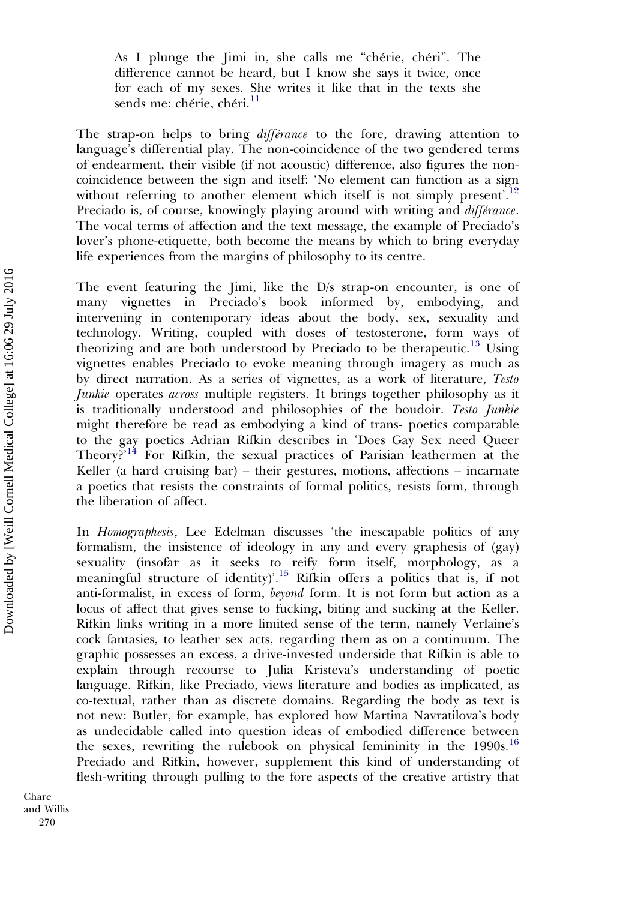As I plunge the Jimi in, she calls me "chérie, chéri". The difference cannot be heard, but I know she says it twice, once for each of my sexes. She writes it like that in the texts she sends me: chérie, chéri.<sup>[11](#page-20-0)</sup>

The strap-on helps to bring *différance* to the fore, drawing attention to language's differential play. The non-coincidence of the two gendered terms of endearment, their visible (if not acoustic) difference, also figures the noncoincidence between the sign and itself: 'No element can function as a sign without referring to another element which itself is not simply present.<sup>7[12](#page-20-0)</sup> Preciado is, of course, knowingly playing around with writing and *différance*. The vocal terms of affection and the text message, the example of Preciado's lover's phone-etiquette, both become the means by which to bring everyday life experiences from the margins of philosophy to its centre.

The event featuring the Jimi, like the D/s strap-on encounter, is one of many vignettes in Preciado's book informed by, embodying, and intervening in contemporary ideas about the body, sex, sexuality and technology. Writing, coupled with doses of testosterone, form ways of theorizing and are both understood by Preciado to be therapeutic.<sup>[13](#page-20-0)</sup> Using vignettes enables Preciado to evoke meaning through imagery as much as by direct narration. As a series of vignettes, as a work of literature, Testo Junkie operates across multiple registers. It brings together philosophy as it is traditionally understood and philosophies of the boudoir. Testo Junkie might therefore be read as embodying a kind of trans- poetics comparable to the gay poetics Adrian Rifkin describes in 'Does Gay Sex need Queer Theory?<sup>'[14](#page-20-0)</sup> For Rifkin, the sexual practices of Parisian leathermen at the Keller (a hard cruising bar) – their gestures, motions, affections – incarnate a poetics that resists the constraints of formal politics, resists form, through the liberation of affect.

In Homographesis, Lee Edelman discusses 'the inescapable politics of any formalism, the insistence of ideology in any and every graphesis of (gay) sexuality (insofar as it seeks to reify form itself, morphology, as a meaningful structure of identity)'.<sup>[15](#page-20-0)</sup> Rifkin offers a politics that is, if not anti-formalist, in excess of form, beyond form. It is not form but action as a locus of affect that gives sense to fucking, biting and sucking at the Keller. Rifkin links writing in a more limited sense of the term, namely Verlaine's cock fantasies, to leather sex acts, regarding them as on a continuum. The graphic possesses an excess, a drive-invested underside that Rifkin is able to explain through recourse to Julia Kristeva's understanding of poetic language. Rifkin, like Preciado, views literature and bodies as implicated, as co-textual, rather than as discrete domains. Regarding the body as text is not new: Butler, for example, has explored how Martina Navratilova's body as undecidable called into question ideas of embodied difference between the sexes, rewriting the rulebook on physical femininity in the  $1990s$ .<sup>[16](#page-20-0)</sup> Preciado and Rifkin, however, supplement this kind of understanding of flesh-writing through pulling to the fore aspects of the creative artistry that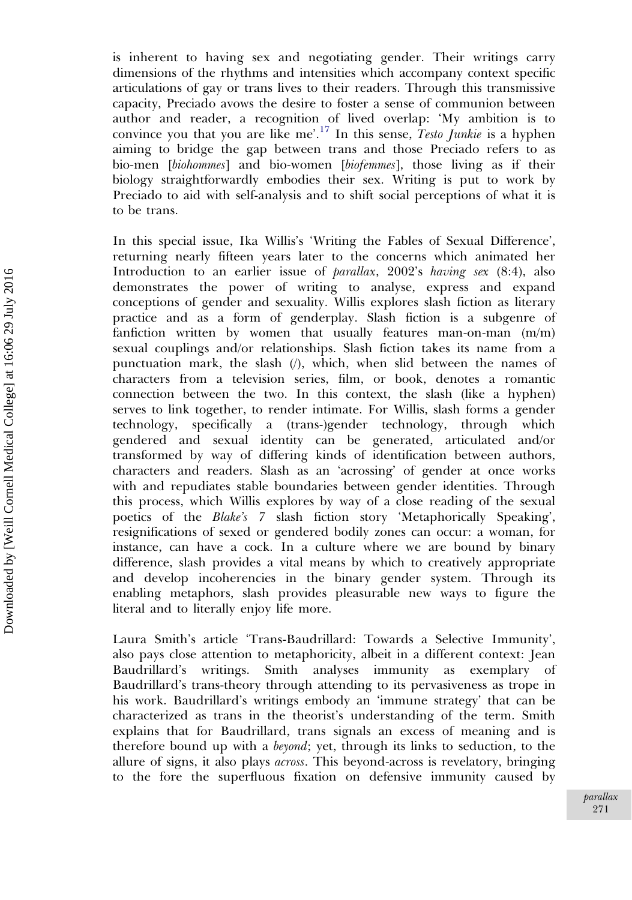is inherent to having sex and negotiating gender. Their writings carry dimensions of the rhythms and intensities which accompany context specific articulations of gay or trans lives to their readers. Through this transmissive capacity, Preciado avows the desire to foster a sense of communion between author and reader, a recognition of lived overlap: 'My ambition is to convince you that you are like me'.<sup>[17](#page-20-0)</sup> In this sense,  $T$ esto *Junkie* is a hyphen aiming to bridge the gap between trans and those Preciado refers to as bio-men [biohommes] and bio-women [biofemmes], those living as if their biology straightforwardly embodies their sex. Writing is put to work by Preciado to aid with self-analysis and to shift social perceptions of what it is to be trans.

In this special issue, Ika Willis's 'Writing the Fables of Sexual Difference', returning nearly fifteen years later to the concerns which animated her Introduction to an earlier issue of parallax, 2002's having sex (8:4), also demonstrates the power of writing to analyse, express and expand conceptions of gender and sexuality. Willis explores slash fiction as literary practice and as a form of genderplay. Slash fiction is a subgenre of fanfiction written by women that usually features man-on-man (m/m) sexual couplings and/or relationships. Slash fiction takes its name from a punctuation mark, the slash  $($ ), which, when slid between the names of characters from a television series, film, or book, denotes a romantic connection between the two. In this context, the slash (like a hyphen) serves to link together, to render intimate. For Willis, slash forms a gender technology, specifically a (trans-)gender technology, through which gendered and sexual identity can be generated, articulated and/or transformed by way of differing kinds of identification between authors, characters and readers. Slash as an 'acrossing' of gender at once works with and repudiates stable boundaries between gender identities. Through this process, which Willis explores by way of a close reading of the sexual poetics of the Blake's 7 slash fiction story 'Metaphorically Speaking', resignifications of sexed or gendered bodily zones can occur: a woman, for instance, can have a cock. In a culture where we are bound by binary difference, slash provides a vital means by which to creatively appropriate and develop incoherencies in the binary gender system. Through its enabling metaphors, slash provides pleasurable new ways to figure the literal and to literally enjoy life more.

Laura Smith's article 'Trans-Baudrillard: Towards a Selective Immunity', also pays close attention to metaphoricity, albeit in a different context: Jean Baudrillard's writings. Smith analyses immunity as exemplary of Baudrillard's trans-theory through attending to its pervasiveness as trope in his work. Baudrillard's writings embody an 'immune strategy' that can be characterized as trans in the theorist's understanding of the term. Smith explains that for Baudrillard, trans signals an excess of meaning and is therefore bound up with a beyond; yet, through its links to seduction, to the allure of signs, it also plays across. This beyond-across is revelatory, bringing to the fore the superfluous fixation on defensive immunity caused by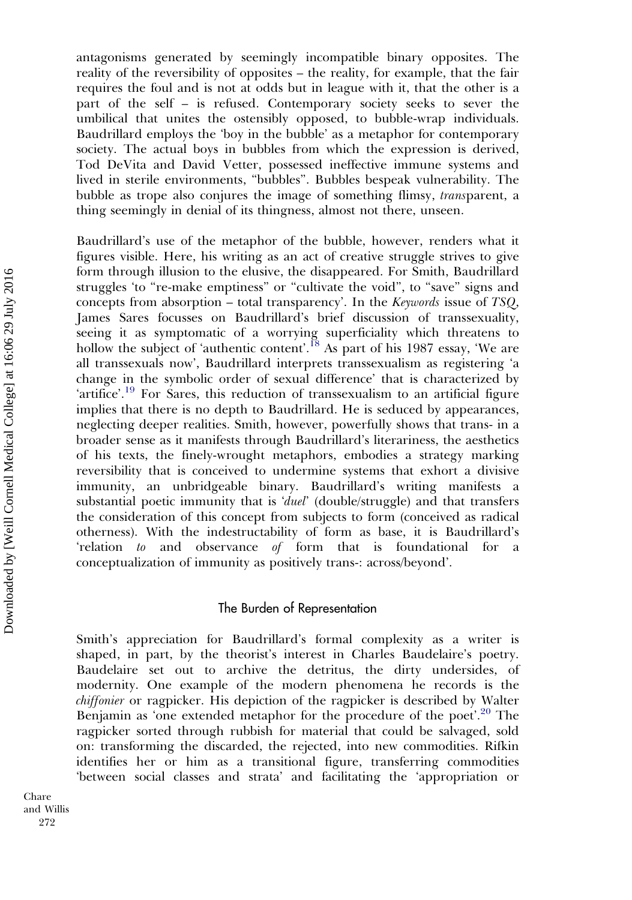antagonisms generated by seemingly incompatible binary opposites. The reality of the reversibility of opposites – the reality, for example, that the fair requires the foul and is not at odds but in league with it, that the other is a part of the self – is refused. Contemporary society seeks to sever the umbilical that unites the ostensibly opposed, to bubble-wrap individuals. Baudrillard employs the 'boy in the bubble' as a metaphor for contemporary society. The actual boys in bubbles from which the expression is derived, Tod DeVita and David Vetter, possessed ineffective immune systems and lived in sterile environments, "bubbles". Bubbles bespeak vulnerability. The bubble as trope also conjures the image of something flimsy, *transparent*, a thing seemingly in denial of its thingness, almost not there, unseen.

Baudrillard's use of the metaphor of the bubble, however, renders what it figures visible. Here, his writing as an act of creative struggle strives to give form through illusion to the elusive, the disappeared. For Smith, Baudrillard struggles 'to "re-make emptiness" or "cultivate the void", to "save" signs and concepts from absorption – total transparency'. In the *Keywords* issue of  $TSQ$ , James Sares focusses on Baudrillard's brief discussion of transsexuality, seeing it as symptomatic of a worrying superficiality which threatens to hollow the subject of 'authentic content'.<sup>[18](#page-20-0)</sup> As part of his 1987 essay, 'We are all transsexuals now', Baudrillard interprets transsexualism as registering 'a change in the symbolic order of sexual difference' that is characterized by 'artifice'.<sup>[19](#page-20-0)</sup> For Sares, this reduction of transsexualism to an artificial figure implies that there is no depth to Baudrillard. He is seduced by appearances, neglecting deeper realities. Smith, however, powerfully shows that trans- in a broader sense as it manifests through Baudrillard's literariness, the aesthetics of his texts, the finely-wrought metaphors, embodies a strategy marking reversibility that is conceived to undermine systems that exhort a divisive immunity, an unbridgeable binary. Baudrillard's writing manifests a substantial poetic immunity that is 'duel' (double/struggle) and that transfers the consideration of this concept from subjects to form (conceived as radical otherness). With the indestructability of form as base, it is Baudrillard's 'relation  $to$  and observance of form that is foundational for conceptualization of immunity as positively trans-: across/beyond'.

#### The Burden of Representation

Smith's appreciation for Baudrillard's formal complexity as a writer is shaped, in part, by the theorist's interest in Charles Baudelaire's poetry. Baudelaire set out to archive the detritus, the dirty undersides, of modernity. One example of the modern phenomena he records is the chiffonier or ragpicker. His depiction of the ragpicker is described by Walter Benjamin as 'one extended metaphor for the procedure of the poet'.<sup>[20](#page-20-0)</sup> The ragpicker sorted through rubbish for material that could be salvaged, sold on: transforming the discarded, the rejected, into new commodities. Rifkin identifies her or him as a transitional figure, transferring commodities 'between social classes and strata' and facilitating the 'appropriation or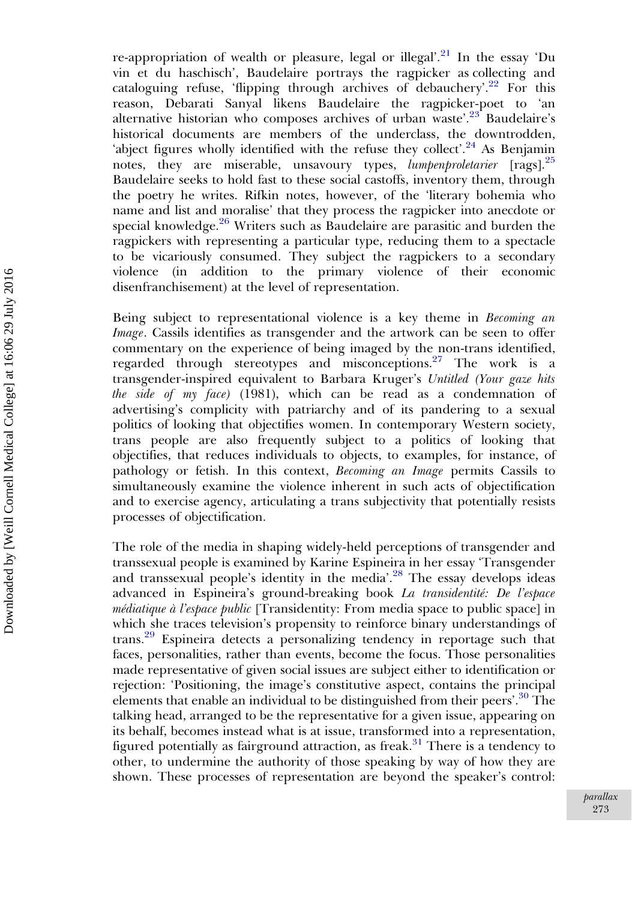re-appropriation of wealth or pleasure, legal or illegal'.<sup>[21](#page-20-0)</sup> In the essay 'Du vin et du haschisch', Baudelaire portrays the ragpicker as collecting and cataloguing refuse, 'flipping through archives of debauchery'.<sup>[22](#page-20-0)</sup> For this reason, Debarati Sanyal likens Baudelaire the ragpicker-poet to 'an alternative historian who composes archives of urban waste'.<sup>[23](#page-20-0)</sup> Baudelaire's historical documents are members of the underclass, the downtrodden, 'abject figures wholly identified with the refuse they collect'.<sup>[24](#page-20-0)</sup> As Benjamin notes, they are miserable, unsavoury types, *lumpenproletarier* [rags].<sup>[25](#page-20-0)</sup> Baudelaire seeks to hold fast to these social castoffs, inventory them, through the poetry he writes. Rifkin notes, however, of the 'literary bohemia who name and list and moralise' that they process the ragpicker into anecdote or special knowledge.<sup>[26](#page-20-0)</sup> Writers such as Baudelaire are parasitic and burden the ragpickers with representing a particular type, reducing them to a spectacle to be vicariously consumed. They subject the ragpickers to a secondary violence (in addition to the primary violence of their economic disenfranchisement) at the level of representation.

Being subject to representational violence is a key theme in Becoming an Image. Cassils identifies as transgender and the artwork can be seen to offer commentary on the experience of being imaged by the non-trans identified, regarded through stereotypes and misconceptions.[27](#page-20-0) The work is a transgender-inspired equivalent to Barbara Kruger's Untitled (Your gaze hits the side of my face) (1981), which can be read as a condemnation of advertising's complicity with patriarchy and of its pandering to a sexual politics of looking that objectifies women. In contemporary Western society, trans people are also frequently subject to a politics of looking that objectifies, that reduces individuals to objects, to examples, for instance, of pathology or fetish. In this context, Becoming an Image permits Cassils to simultaneously examine the violence inherent in such acts of objectification and to exercise agency, articulating a trans subjectivity that potentially resists processes of objectification.

The role of the media in shaping widely-held perceptions of transgender and transsexual people is examined by Karine Espineira in her essay 'Transgender and transsexual people's identity in the media'. [28](#page-20-0) The essay develops ideas advanced in Espineira's ground-breaking book La transidentité: De l'espace médiatique à l'espace public [Transidentity: From media space to public space] in which she traces television's propensity to reinforce binary understandings of trans.[29](#page-20-0) Espineira detects a personalizing tendency in reportage such that faces, personalities, rather than events, become the focus. Those personalities made representative of given social issues are subject either to identification or rejection: 'Positioning, the image's constitutive aspect, contains the principal elements that enable an individual to be distinguished from their peers'.<sup>[30](#page-20-0)</sup> The talking head, arranged to be the representative for a given issue, appearing on its behalf, becomes instead what is at issue, transformed into a representation, figured potentially as fairground attraction, as freak.<sup>[31](#page-20-0)</sup> There is a tendency to other, to undermine the authority of those speaking by way of how they are shown. These processes of representation are beyond the speaker's control: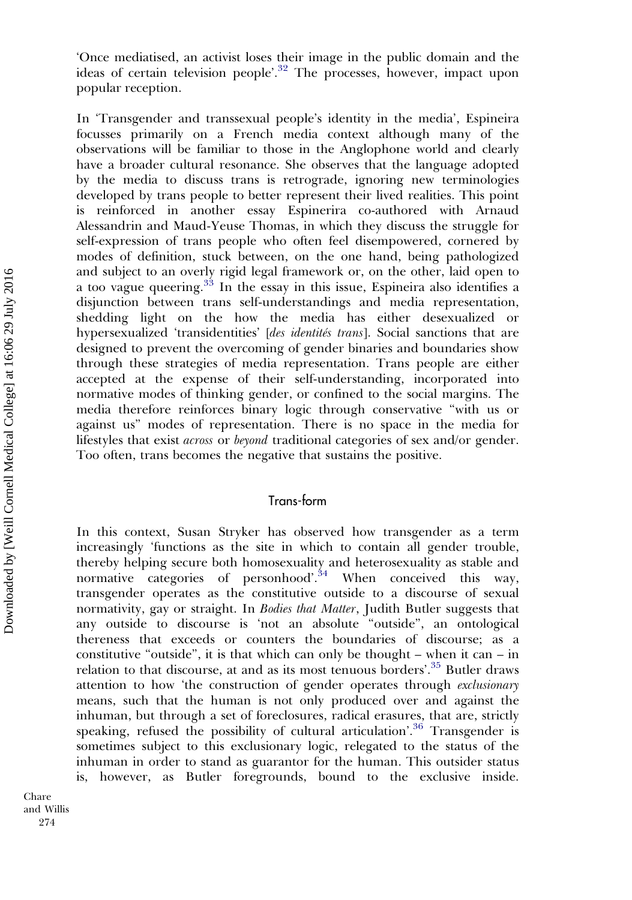'Once mediatised, an activist loses their image in the public domain and the ideas of certain television people'.<sup>[32](#page-20-0)</sup> The processes, however, impact upon popular reception.

In 'Transgender and transsexual people's identity in the media', Espineira focusses primarily on a French media context although many of the observations will be familiar to those in the Anglophone world and clearly have a broader cultural resonance. She observes that the language adopted by the media to discuss trans is retrograde, ignoring new terminologies developed by trans people to better represent their lived realities. This point is reinforced in another essay Espinerira co-authored with Arnaud Alessandrin and Maud-Yeuse Thomas, in which they discuss the struggle for self-expression of trans people who often feel disempowered, cornered by modes of definition, stuck between, on the one hand, being pathologized and subject to an overly rigid legal framework or, on the other, laid open to a too vague queering. $33 \text{ In the}$  $33 \text{ In the}$  essay in this issue, Espineira also identifies a disjunction between trans self-understandings and media representation, shedding light on the how the media has either desexualized or hypersexualized 'transidentities' [des identités trans]. Social sanctions that are designed to prevent the overcoming of gender binaries and boundaries show through these strategies of media representation. Trans people are either accepted at the expense of their self-understanding, incorporated into normative modes of thinking gender, or confined to the social margins. The media therefore reinforces binary logic through conservative "with us or against us" modes of representation. There is no space in the media for lifestyles that exist across or beyond traditional categories of sex and/or gender. Too often, trans becomes the negative that sustains the positive.

# Trans-form

In this context, Susan Stryker has observed how transgender as a term increasingly 'functions as the site in which to contain all gender trouble, thereby helping secure both homosexuality and heterosexuality as stable and normative categories of personhood'.<sup>[34](#page-20-0)</sup> When conceived this way, transgender operates as the constitutive outside to a discourse of sexual normativity, gay or straight. In *Bodies that Matter*, Judith Butler suggests that any outside to discourse is 'not an absolute "outside", an ontological thereness that exceeds or counters the boundaries of discourse; as a constitutive "outside", it is that which can only be thought – when it can – in relation to that discourse, at and as its most tenuous borders'. [35](#page-20-0) Butler draws attention to how 'the construction of gender operates through exclusionary means, such that the human is not only produced over and against the inhuman, but through a set of foreclosures, radical erasures, that are, strictly speaking, refused the possibility of cultural articulation'.<sup>[36](#page-20-0)</sup> Transgender is sometimes subject to this exclusionary logic, relegated to the status of the inhuman in order to stand as guarantor for the human. This outsider status however, as Butler foregrounds, bound to the exclusive inside.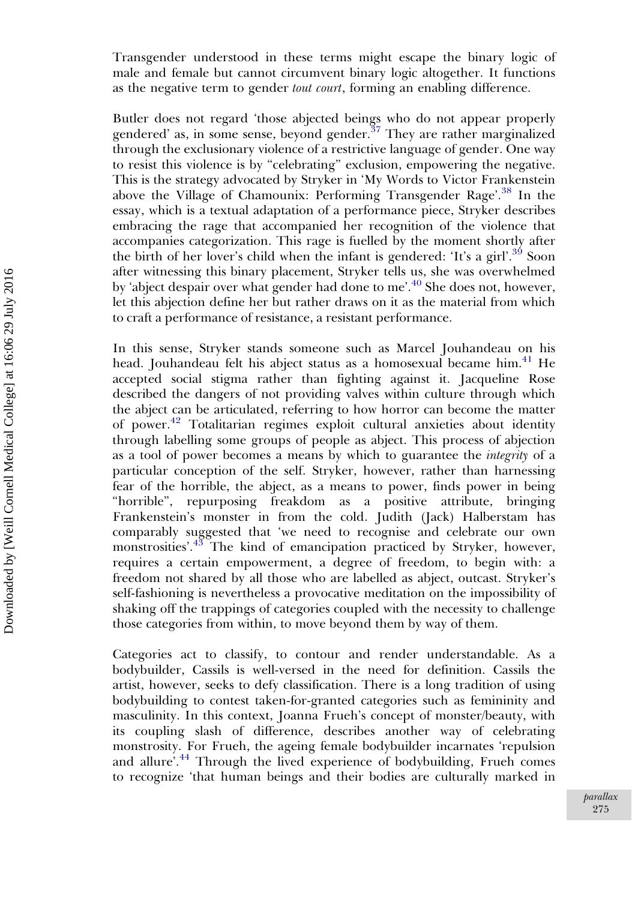Transgender understood in these terms might escape the binary logic of male and female but cannot circumvent binary logic altogether. It functions as the negative term to gender tout court, forming an enabling difference.

Butler does not regard 'those abjected beings who do not appear properly gendered' as, in some sense, beyond gender.<sup>[37](#page-20-0)</sup> They are rather marginalized through the exclusionary violence of a restrictive language of gender. One way to resist this violence is by "celebrating" exclusion, empowering the negative. This is the strategy advocated by Stryker in 'My Words to Victor Frankenstein above the Village of Chamounix: Performing Transgender Rage'. [38](#page-20-0) In the essay, which is a textual adaptation of a performance piece, Stryker describes embracing the rage that accompanied her recognition of the violence that accompanies categorization. This rage is fuelled by the moment shortly after the birth of her lover's child when the infant is gendered: 'It's a girl'.<sup>[39](#page-20-0)</sup> Soon after witnessing this binary placement, Stryker tells us, she was overwhelmed by 'abject despair over what gender had done to me'.<sup>[40](#page-20-0)</sup> She does not, however, let this abjection define her but rather draws on it as the material from which to craft a performance of resistance, a resistant performance.

In this sense, Stryker stands someone such as Marcel Jouhandeau on his head. Jouhandeau felt his abject status as a homosexual became him.<sup>[41](#page-20-0)</sup> He accepted social stigma rather than fighting against it. Jacqueline Rose described the dangers of not providing valves within culture through which the abject can be articulated, referring to how horror can become the matter of power.[42](#page-20-0) Totalitarian regimes exploit cultural anxieties about identity through labelling some groups of people as abject. This process of abjection as a tool of power becomes a means by which to guarantee the integrity of a particular conception of the self. Stryker, however, rather than harnessing fear of the horrible, the abject, as a means to power, finds power in being "horrible", repurposing freakdom as a positive attribute, bringing Frankenstein's monster in from the cold. Judith (Jack) Halberstam has comparably suggested that 'we need to recognise and celebrate our own monstrosities'.<sup>[43](#page-20-0)</sup> The kind of emancipation practiced by Stryker, however, requires a certain empowerment, a degree of freedom, to begin with: a freedom not shared by all those who are labelled as abject, outcast. Stryker's self-fashioning is nevertheless a provocative meditation on the impossibility of shaking off the trappings of categories coupled with the necessity to challenge those categories from within, to move beyond them by way of them.

Categories act to classify, to contour and render understandable. As a bodybuilder, Cassils is well-versed in the need for definition. Cassils the artist, however, seeks to defy classification. There is a long tradition of using bodybuilding to contest taken-for-granted categories such as femininity and masculinity. In this context, Joanna Frueh's concept of monster/beauty, with its coupling slash of difference, describes another way of celebrating monstrosity. For Frueh, the ageing female bodybuilder incarnates 'repulsion and allure<sup>'.[44](#page-20-0)</sup> Through the lived experience of bodybuilding, Frueh comes to recognize 'that human beings and their bodies are culturally marked in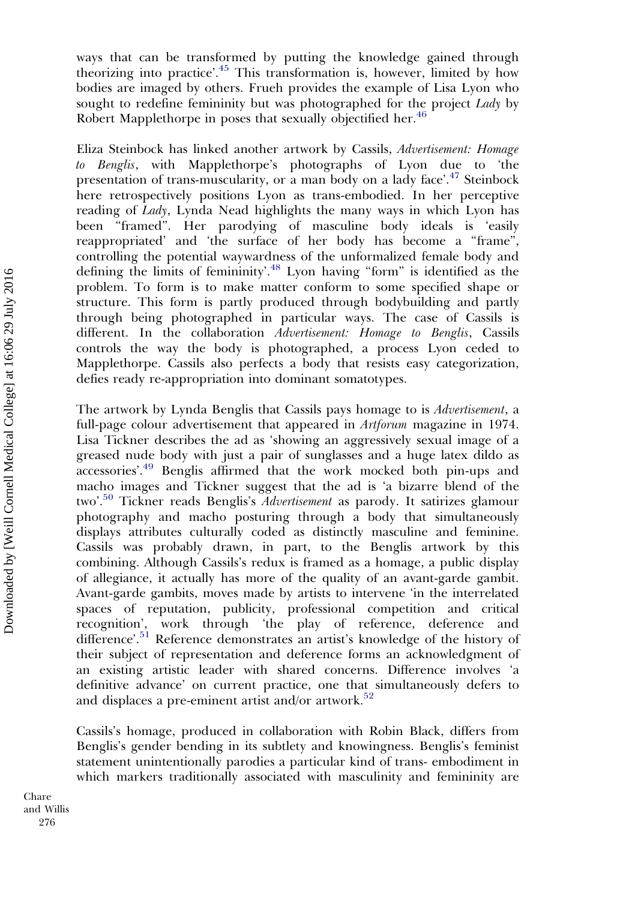ways that can be transformed by putting the knowledge gained through theorizing into practice'. [45](#page-20-0) This transformation is, however, limited by how bodies are imaged by others. Frueh provides the example of Lisa Lyon who sought to redefine femininity but was photographed for the project Lady by Robert Mapplethorpe in poses that sexually objectified her.<sup>[46](#page-20-0)</sup>

Eliza Steinbock has linked another artwork by Cassils, Advertisement: Homage to Benglis, with Mapplethorpe's photographs of Lyon due to 'the presentation of trans-muscularity, or a man body on a lady face'.<sup>[47](#page-20-0)</sup> Steinbock here retrospectively positions Lyon as trans-embodied. In her perceptive reading of Lady, Lynda Nead highlights the many ways in which Lyon has been "framed". Her parodying of masculine body ideals is 'easily reappropriated' and 'the surface of her body has become a "frame", controlling the potential waywardness of the unformalized female body and defining the limits of femininity'. [48](#page-20-0) Lyon having "form" is identified as the problem. To form is to make matter conform to some specified shape or structure. This form is partly produced through bodybuilding and partly through being photographed in particular ways. The case of Cassils is different. In the collaboration Advertisement: Homage to Benglis, Cassils controls the way the body is photographed, a process Lyon ceded to Mapplethorpe. Cassils also perfects a body that resists easy categorization, defies ready re-appropriation into dominant somatotypes.

The artwork by Lynda Benglis that Cassils pays homage to is Advertisement, a full-page colour advertisement that appeared in Artforum magazine in 1974. Lisa Tickner describes the ad as 'showing an aggressively sexual image of a greased nude body with just a pair of sunglasses and a huge latex dildo as accessories'. [49](#page-20-0) Benglis affirmed that the work mocked both pin-ups and macho images and Tickner suggest that the ad is 'a bizarre blend of the two'.<sup>[50](#page-20-0)</sup> Tickner reads Benglis's Advertisement as parody. It satirizes glamour photography and macho posturing through a body that simultaneously displays attributes culturally coded as distinctly masculine and feminine. Cassils was probably drawn, in part, to the Benglis artwork by this combining. Although Cassils's redux is framed as a homage, a public display of allegiance, it actually has more of the quality of an avant-garde gambit. Avant-garde gambits, moves made by artists to intervene 'in the interrelated spaces of reputation, publicity, professional competition and critical recognition', work through 'the play of reference, deference and difference'.<sup>[51](#page-20-0)</sup> Reference demonstrates an artist's knowledge of the history of their subject of representation and deference forms an acknowledgment of an existing artistic leader with shared concerns. Difference involves 'a definitive advance' on current practice, one that simultaneously defers to and displaces a pre-eminent artist and/or artwork.<sup>[52](#page-20-0)</sup>

Cassils's homage, produced in collaboration with Robin Black, differs from Benglis's gender bending in its subtlety and knowingness. Benglis's feminist statement unintentionally parodies a particular kind of trans- embodiment in which markers traditionally associated with masculinity and femininity are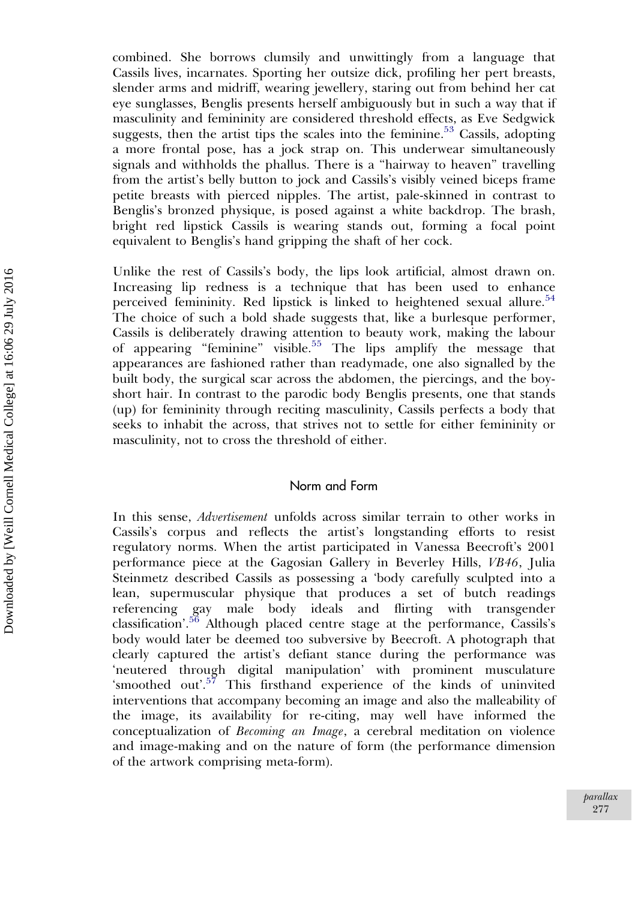combined. She borrows clumsily and unwittingly from a language that Cassils lives, incarnates. Sporting her outsize dick, profiling her pert breasts, slender arms and midriff, wearing jewellery, staring out from behind her cat eye sunglasses, Benglis presents herself ambiguously but in such a way that if masculinity and femininity are considered threshold effects, as Eve Sedgwick suggests, then the artist tips the scales into the feminine.<sup>[53](#page-20-0)</sup> Cassils, adopting a more frontal pose, has a jock strap on. This underwear simultaneously signals and withholds the phallus. There is a "hairway to heaven" travelling from the artist's belly button to jock and Cassils's visibly veined biceps frame petite breasts with pierced nipples. The artist, pale-skinned in contrast to Benglis's bronzed physique, is posed against a white backdrop. The brash, bright red lipstick Cassils is wearing stands out, forming a focal point equivalent to Benglis's hand gripping the shaft of her cock.

Unlike the rest of Cassils's body, the lips look artificial, almost drawn on. Increasing lip redness is a technique that has been used to enhance perceived femininity. Red lipstick is linked to heightened sexual allure.<sup>[54](#page-20-0)</sup> The choice of such a bold shade suggests that, like a burlesque performer, Cassils is deliberately drawing attention to beauty work, making the labour of appearing "feminine" visible.<sup>[55](#page-20-0)</sup> The lips amplify the message that appearances are fashioned rather than readymade, one also signalled by the built body, the surgical scar across the abdomen, the piercings, and the boyshort hair. In contrast to the parodic body Benglis presents, one that stands (up) for femininity through reciting masculinity, Cassils perfects a body that seeks to inhabit the across, that strives not to settle for either femininity or masculinity, not to cross the threshold of either.

#### Norm and Form

In this sense, Advertisement unfolds across similar terrain to other works in Cassils's corpus and reflects the artist's longstanding efforts to resist regulatory norms. When the artist participated in Vanessa Beecroft's 2001 performance piece at the Gagosian Gallery in Beverley Hills, VB46, Julia Steinmetz described Cassils as possessing a 'body carefully sculpted into a lean, supermuscular physique that produces a set of butch readings referencing gay male body ideals and flirting with transgender classification'. [56](#page-20-0) Although placed centre stage at the performance, Cassils's body would later be deemed too subversive by Beecroft. A photograph that clearly captured the artist's defiant stance during the performance was 'neutered through digital manipulation' with prominent musculature 'smoothed out'.<sup>[57](#page-20-0)</sup> This firsthand experience of the kinds of uninvited interventions that accompany becoming an image and also the malleability of the image, its availability for re-citing, may well have informed the conceptualization of Becoming an Image, a cerebral meditation on violence and image-making and on the nature of form (the performance dimension of the artwork comprising meta-form).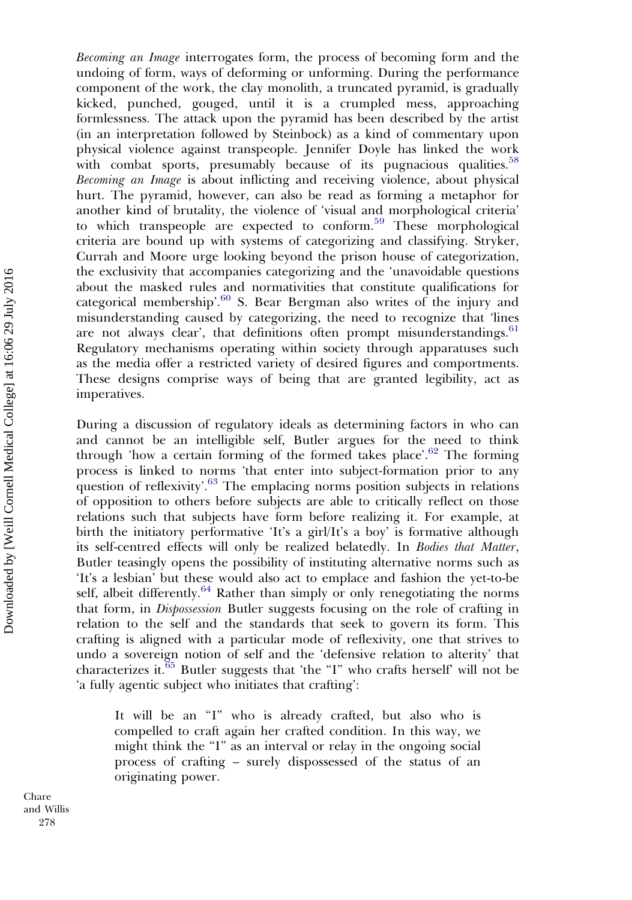Becoming an Image interrogates form, the process of becoming form and the undoing of form, ways of deforming or unforming. During the performance component of the work, the clay monolith, a truncated pyramid, is gradually kicked, punched, gouged, until it is a crumpled mess, approaching formlessness. The attack upon the pyramid has been described by the artist (in an interpretation followed by Steinbock) as a kind of commentary upon physical violence against transpeople. Jennifer Doyle has linked the work with combat sports, presumably because of its pugnacious qualities.<sup>[58](#page-20-0)</sup> Becoming an Image is about inflicting and receiving violence, about physical hurt. The pyramid, however, can also be read as forming a metaphor for another kind of brutality, the violence of 'visual and morphological criteria' to which transpeople are expected to conform.<sup>[59](#page-20-0)</sup> These morphological criteria are bound up with systems of categorizing and classifying. Stryker, Currah and Moore urge looking beyond the prison house of categorization, the exclusivity that accompanies categorizing and the 'unavoidable questions about the masked rules and normativities that constitute qualifications for categorical membership'.<sup>[60](#page-20-0)</sup> S. Bear Bergman also writes of the injury and misunderstanding caused by categorizing, the need to recognize that 'lines are not always clear', that definitions often prompt misunderstandings.<sup>[61](#page-20-0)</sup> Regulatory mechanisms operating within society through apparatuses such as the media offer a restricted variety of desired figures and comportments. These designs comprise ways of being that are granted legibility, act as imperatives.

During a discussion of regulatory ideals as determining factors in who can and cannot be an intelligible self, Butler argues for the need to think through 'how a certain forming of the formed takes place'.<sup>[62](#page-20-0)</sup> The forming process is linked to norms 'that enter into subject-formation prior to any question of reflexivity'.<sup>[63](#page-20-0)</sup> The emplacing norms position subjects in relations of opposition to others before subjects are able to critically reflect on those relations such that subjects have form before realizing it. For example, at birth the initiatory performative 'It's a girl/It's a boy' is formative although its self-centred effects will only be realized belatedly. In Bodies that Matter, Butler teasingly opens the possibility of instituting alternative norms such as 'It's a lesbian' but these would also act to emplace and fashion the yet-to-be self, albeit differently.<sup>[64](#page-20-0)</sup> Rather than simply or only renegotiating the norms that form, in Dispossession Butler suggests focusing on the role of crafting in relation to the self and the standards that seek to govern its form. This crafting is aligned with a particular mode of reflexivity, one that strives to undo a sovereign notion of self and the 'defensive relation to alterity' that characterizes it. $65$  Butler suggests that 'the "I" who crafts herself' will not be 'a fully agentic subject who initiates that crafting':

It will be an "I" who is already crafted, but also who is compelled to craft again her crafted condition. In this way, we might think the "I" as an interval or relay in the ongoing social process of crafting – surely dispossessed of the status of an originating power.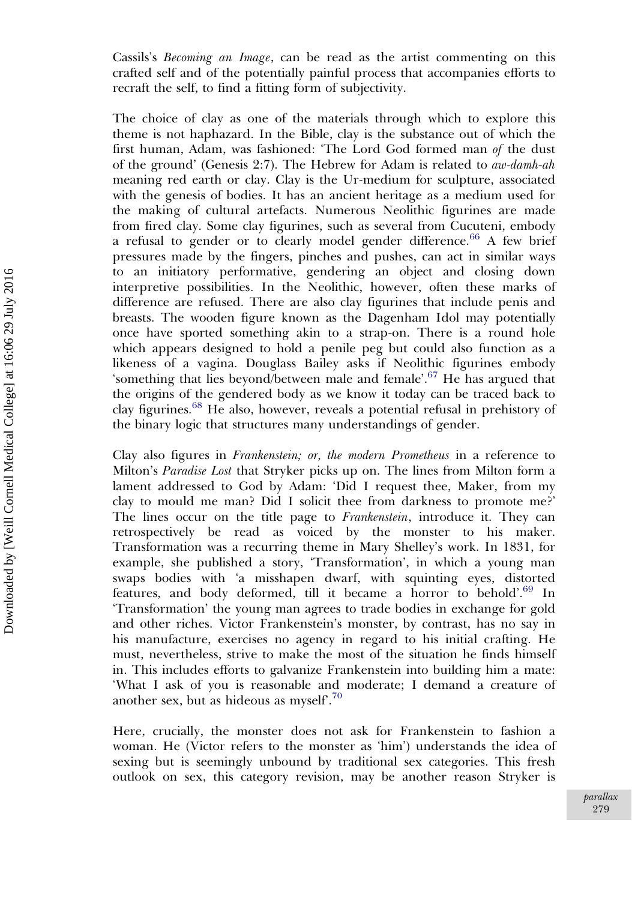Cassils's Becoming an Image, can be read as the artist commenting on this crafted self and of the potentially painful process that accompanies efforts to recraft the self, to find a fitting form of subjectivity.

The choice of clay as one of the materials through which to explore this theme is not haphazard. In the Bible, clay is the substance out of which the first human, Adam, was fashioned: 'The Lord God formed man of the dust of the ground' (Genesis 2:7). The Hebrew for Adam is related to aw-damh-ah meaning red earth or clay. Clay is the Ur-medium for sculpture, associated with the genesis of bodies. It has an ancient heritage as a medium used for the making of cultural artefacts. Numerous Neolithic figurines are made from fired clay. Some clay figurines, such as several from Cucuteni, embody a refusal to gender or to clearly model gender difference.<sup>[66](#page-20-0)</sup> A few brief pressures made by the fingers, pinches and pushes, can act in similar ways to an initiatory performative, gendering an object and closing down interpretive possibilities. In the Neolithic, however, often these marks of difference are refused. There are also clay figurines that include penis and breasts. The wooden figure known as the Dagenham Idol may potentially once have sported something akin to a strap-on. There is a round hole which appears designed to hold a penile peg but could also function as a likeness of a vagina. Douglass Bailey asks if Neolithic figurines embody 'something that lies beyond/between male and female'. [67](#page-20-0) He has argued that the origins of the gendered body as we know it today can be traced back to clay figurines.[68](#page-20-0) He also, however, reveals a potential refusal in prehistory of the binary logic that structures many understandings of gender.

Clay also figures in Frankenstein; or, the modern Prometheus in a reference to Milton's *Paradise Lost* that Stryker picks up on. The lines from Milton form a lament addressed to God by Adam: 'Did I request thee, Maker, from my clay to mould me man? Did I solicit thee from darkness to promote me?' The lines occur on the title page to Frankenstein, introduce it. They can retrospectively be read as voiced by the monster to his maker. Transformation was a recurring theme in Mary Shelley's work. In 1831, for example, she published a story, 'Transformation', in which a young man swaps bodies with 'a misshapen dwarf, with squinting eyes, distorted features, and body deformed, till it became a horror to behold'. [69](#page-20-0) In 'Transformation' the young man agrees to trade bodies in exchange for gold and other riches. Victor Frankenstein's monster, by contrast, has no say in his manufacture, exercises no agency in regard to his initial crafting. He must, nevertheless, strive to make the most of the situation he finds himself in. This includes efforts to galvanize Frankenstein into building him a mate: 'What I ask of you is reasonable and moderate; I demand a creature of another sex, but as hideous as myself.<sup>[70](#page-20-0)</sup>

Here, crucially, the monster does not ask for Frankenstein to fashion a woman. He (Victor refers to the monster as 'him') understands the idea of sexing but is seemingly unbound by traditional sex categories. This fresh outlook on sex, this category revision, may be another reason Stryker is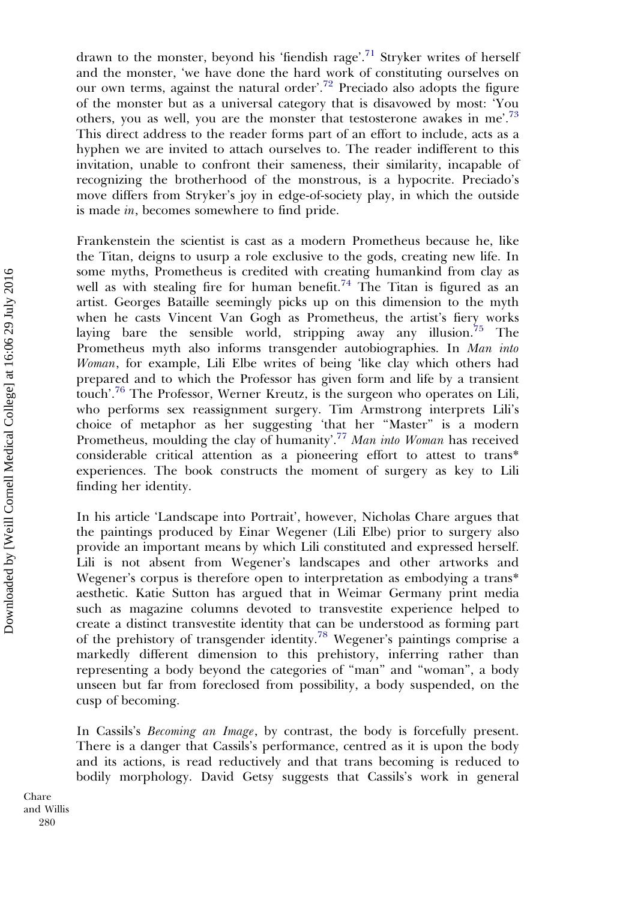drawn to the monster, beyond his 'fiendish rage'.<sup>[71](#page-20-0)</sup> Stryker writes of herself and the monster, 'we have done the hard work of constituting ourselves on our own terms, against the natural order'.<sup>[72](#page-20-0)</sup> Preciado also adopts the figure of the monster but as a universal category that is disavowed by most: 'You others, you as well, you are the monster that testosterone awakes in me'.<sup>[73](#page-21-0)</sup> This direct address to the reader forms part of an effort to include, acts as a hyphen we are invited to attach ourselves to. The reader indifferent to this invitation, unable to confront their sameness, their similarity, incapable of recognizing the brotherhood of the monstrous, is a hypocrite. Preciado's move differs from Stryker's joy in edge-of-society play, in which the outside is made in, becomes somewhere to find pride.

Frankenstein the scientist is cast as a modern Prometheus because he, like the Titan, deigns to usurp a role exclusive to the gods, creating new life. In some myths, Prometheus is credited with creating humankind from clay as well as with stealing fire for human benefit.<sup>[74](#page-21-0)</sup> The Titan is figured as an artist. Georges Bataille seemingly picks up on this dimension to the myth when he casts Vincent Van Gogh as Prometheus, the artist's fiery works laying bare the sensible world, stripping away any illusion.<sup>[75](#page-21-0)</sup> The Prometheus myth also informs transgender autobiographies. In Man into Woman, for example, Lili Elbe writes of being 'like clay which others had prepared and to which the Professor has given form and life by a transient touch'. [76](#page-21-0) The Professor, Werner Kreutz, is the surgeon who operates on Lili, who performs sex reassignment surgery. Tim Armstrong interprets Lili's choice of metaphor as her suggesting 'that her "Master" is a modern Prometheus, moulding the clay of humanity'.<sup>[77](#page-21-0)</sup> Man into Woman has received considerable critical attention as a pioneering effort to attest to trans\* experiences. The book constructs the moment of surgery as key to Lili finding her identity.

In his article 'Landscape into Portrait', however, Nicholas Chare argues that the paintings produced by Einar Wegener (Lili Elbe) prior to surgery also provide an important means by which Lili constituted and expressed herself. Lili is not absent from Wegener's landscapes and other artworks and Wegener's corpus is therefore open to interpretation as embodying a trans\* aesthetic. Katie Sutton has argued that in Weimar Germany print media such as magazine columns devoted to transvestite experience helped to create a distinct transvestite identity that can be understood as forming part of the prehistory of transgender identity.<sup>[78](#page-21-0)</sup> Wegener's paintings comprise a markedly different dimension to this prehistory, inferring rather than representing a body beyond the categories of "man" and "woman", a body unseen but far from foreclosed from possibility, a body suspended, on the cusp of becoming.

In Cassils's *Becoming an Image*, by contrast, the body is forcefully present. There is a danger that Cassils's performance, centred as it is upon the body and its actions, is read reductively and that trans becoming is reduced to bodily morphology. David Getsy suggests that Cassils's work in general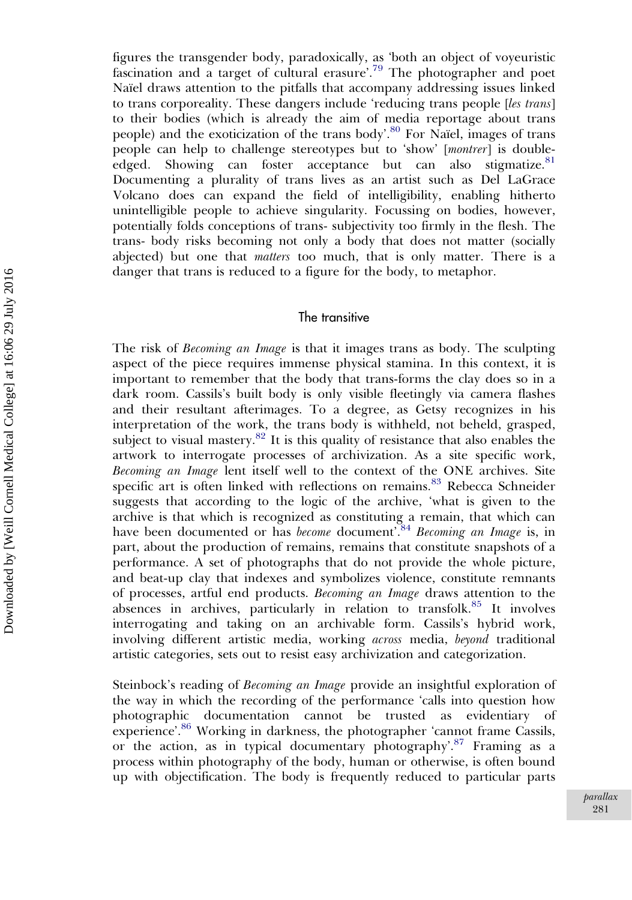figures the transgender body, paradoxically, as 'both an object of voyeuristic fascination and a target of cultural erasure<sup>'.[79](#page-21-0)</sup> The photographer and poet Naïel draws attention to the pitfalls that accompany addressing issues linked to trans corporeality. These dangers include 'reducing trans people [les trans] to their bodies (which is already the aim of media reportage about trans people) and the exoticization of the trans body'.<sup>[80](#page-21-0)</sup> For Naïel, images of trans people can help to challenge stereotypes but to 'show' [montrer] is double-edged. Showing can foster acceptance but can also stigmatize.<sup>[81](#page-21-0)</sup> Documenting a plurality of trans lives as an artist such as Del LaGrace Volcano does can expand the field of intelligibility, enabling hitherto unintelligible people to achieve singularity. Focussing on bodies, however, potentially folds conceptions of trans- subjectivity too firmly in the flesh. The trans- body risks becoming not only a body that does not matter (socially abjected) but one that matters too much, that is only matter. There is a danger that trans is reduced to a figure for the body, to metaphor.

#### The transitive

The risk of Becoming an Image is that it images trans as body. The sculpting aspect of the piece requires immense physical stamina. In this context, it is important to remember that the body that trans-forms the clay does so in a dark room. Cassils's built body is only visible fleetingly via camera flashes and their resultant afterimages. To a degree, as Getsy recognizes in his interpretation of the work, the trans body is withheld, not beheld, grasped, subject to visual mastery.<sup>82</sup> It is this quality of resistance that also enables the artwork to interrogate processes of archivization. As a site specific work, Becoming an Image lent itself well to the context of the ONE archives. Site specific art is often linked with reflections on remains.<sup>[83](#page-21-0)</sup> Rebecca Schneider suggests that according to the logic of the archive, 'what is given to the archive is that which is recognized as constituting a remain, that which can have been documented or has become document<sup>'[84](#page-21-0)</sup> Becoming an Image is, in part, about the production of remains, remains that constitute snapshots of a performance. A set of photographs that do not provide the whole picture, and beat-up clay that indexes and symbolizes violence, constitute remnants of processes, artful end products. Becoming an Image draws attention to the absences in archives, particularly in relation to transfolk.<sup>[85](#page-21-0)</sup> It involves interrogating and taking on an archivable form. Cassils's hybrid work, involving different artistic media, working across media, beyond traditional artistic categories, sets out to resist easy archivization and categorization.

Steinbock's reading of Becoming an Image provide an insightful exploration of the way in which the recording of the performance 'calls into question how photographic documentation cannot be trusted as evidentiary of experience'.<sup>[86](#page-21-0)</sup> Working in darkness, the photographer 'cannot frame Cassils, or the action, as in typical documentary photography'.<sup>[87](#page-21-0)</sup> Framing as a process within photography of the body, human or otherwise, is often bound up with objectification. The body is frequently reduced to particular parts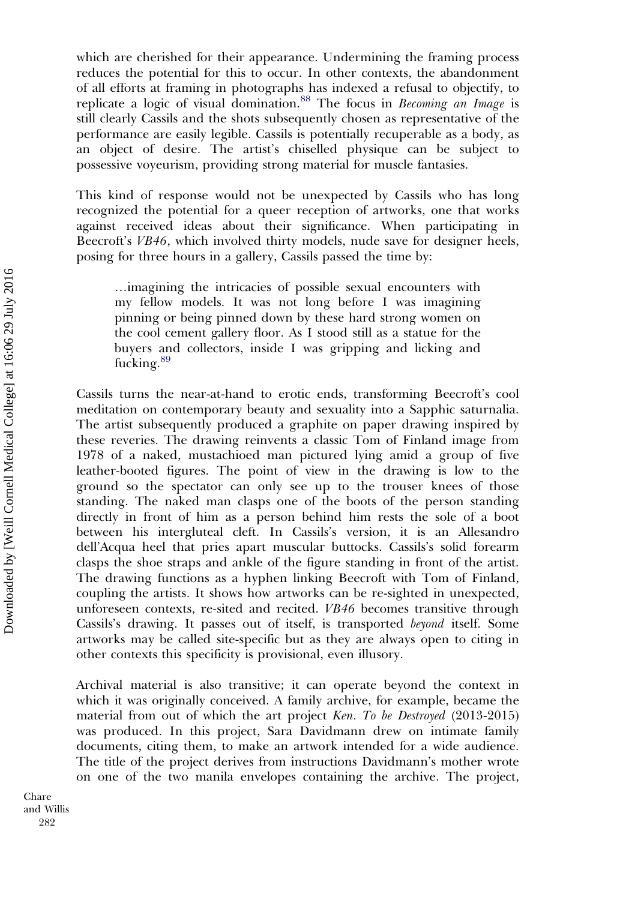which are cherished for their appearance. Undermining the framing process reduces the potential for this to occur. In other contexts, the abandonment of all efforts at framing in photographs has indexed a refusal to objectify, to replicate a logic of visual domination.<sup>[88](#page-21-0)</sup> The focus in *Becoming an Image* is still clearly Cassils and the shots subsequently chosen as representative of the performance are easily legible. Cassils is potentially recuperable as a body, as an object of desire. The artist's chiselled physique can be subject to possessive voyeurism, providing strong material for muscle fantasies.

This kind of response would not be unexpected by Cassils who has long recognized the potential for a queer reception of artworks, one that works against received ideas about their significance. When participating in Beecroft's VB46, which involved thirty models, nude save for designer heels, posing for three hours in a gallery, Cassils passed the time by:

…imagining the intricacies of possible sexual encounters with my fellow models. It was not long before I was imagining pinning or being pinned down by these hard strong women on the cool cement gallery floor. As I stood still as a statue for the buyers and collectors, inside I was gripping and licking and fucking.[89](#page-21-0)

Cassils turns the near-at-hand to erotic ends, transforming Beecroft's cool meditation on contemporary beauty and sexuality into a Sapphic saturnalia. The artist subsequently produced a graphite on paper drawing inspired by these reveries. The drawing reinvents a classic Tom of Finland image from 1978 of a naked, mustachioed man pictured lying amid a group of five leather-booted figures. The point of view in the drawing is low to the ground so the spectator can only see up to the trouser knees of those standing. The naked man clasps one of the boots of the person standing directly in front of him as a person behind him rests the sole of a boot between his intergluteal cleft. In Cassils's version, it is an Allesandro dell'Acqua heel that pries apart muscular buttocks. Cassils's solid forearm clasps the shoe straps and ankle of the figure standing in front of the artist. The drawing functions as a hyphen linking Beecroft with Tom of Finland, coupling the artists. It shows how artworks can be re-sighted in unexpected, unforeseen contexts, re-sited and recited. VB46 becomes transitive through Cassils's drawing. It passes out of itself, is transported beyond itself. Some artworks may be called site-specific but as they are always open to citing in other contexts this specificity is provisional, even illusory.

Archival material is also transitive; it can operate beyond the context in which it was originally conceived. A family archive, for example, became the material from out of which the art project *Ken. To be Destroyed* (2013-2015) was produced. In this project, Sara Davidmann drew on intimate family documents, citing them, to make an artwork intended for a wide audience. The title of the project derives from instructions Davidmann's mother wrote on one of the two manila envelopes containing the archive. The project,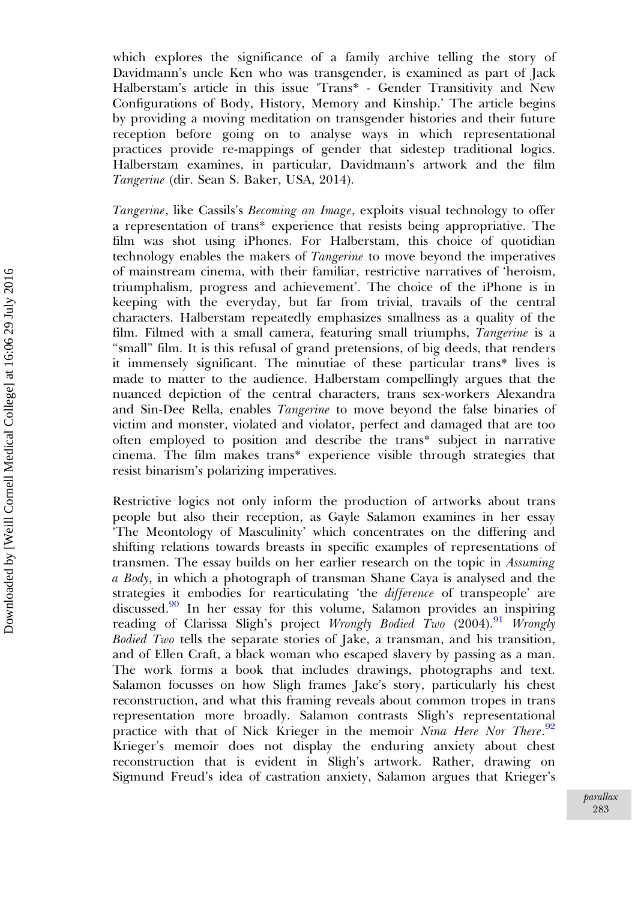which explores the significance of a family archive telling the story of Davidmann's uncle Ken who was transgender, is examined as part of Jack Halberstam's article in this issue 'Trans\* - Gender Transitivity and New Configurations of Body, History, Memory and Kinship.' The article begins by providing a moving meditation on transgender histories and their future reception before going on to analyse ways in which representational practices provide re-mappings of gender that sidestep traditional logics. Halberstam examines, in particular, Davidmann's artwork and the film Tangerine (dir. Sean S. Baker, USA, 2014).

Tangerine, like Cassils's Becoming an Image, exploits visual technology to offer a representation of trans\* experience that resists being appropriative. The film was shot using iPhones. For Halberstam, this choice of quotidian technology enables the makers of Tangerine to move beyond the imperatives of mainstream cinema, with their familiar, restrictive narratives of 'heroism, triumphalism, progress and achievement'. The choice of the iPhone is in keeping with the everyday, but far from trivial, travails of the central characters. Halberstam repeatedly emphasizes smallness as a quality of the film. Filmed with a small camera, featuring small triumphs, Tangerine is a "small" film. It is this refusal of grand pretensions, of big deeds, that renders it immensely significant. The minutiae of these particular trans\* lives is made to matter to the audience. Halberstam compellingly argues that the nuanced depiction of the central characters, trans sex-workers Alexandra and Sin-Dee Rella, enables Tangerine to move beyond the false binaries of victim and monster, violated and violator, perfect and damaged that are too often employed to position and describe the trans\* subject in narrative cinema. The film makes trans\* experience visible through strategies that resist binarism's polarizing imperatives.

Restrictive logics not only inform the production of artworks about trans people but also their reception, as Gayle Salamon examines in her essay 'The Meontology of Masculinity' which concentrates on the differing and shifting relations towards breasts in specific examples of representations of transmen. The essay builds on her earlier research on the topic in Assuming a Body, in which a photograph of transman Shane Caya is analysed and the strategies it embodies for rearticulating 'the difference of transpeople' are discussed.[90](#page-21-0) In her essay for this volume, Salamon provides an inspiring reading of Clarissa Sligh's project Wrongly Bodied Two (2004).<sup>[91](#page-21-0)</sup> Wrongly Bodied Two tells the separate stories of Jake, a transman, and his transition, and of Ellen Craft, a black woman who escaped slavery by passing as a man. The work forms a book that includes drawings, photographs and text. Salamon focusses on how Sligh frames Jake's story, particularly his chest reconstruction, and what this framing reveals about common tropes in trans representation more broadly. Salamon contrasts Sligh's representational practice with that of Nick Krieger in the memoir Nina Here Nor There.<sup>[92](#page-21-0)</sup> Krieger's memoir does not display the enduring anxiety about chest reconstruction that is evident in Sligh's artwork. Rather, drawing on Sigmund Freud's idea of castration anxiety, Salamon argues that Krieger's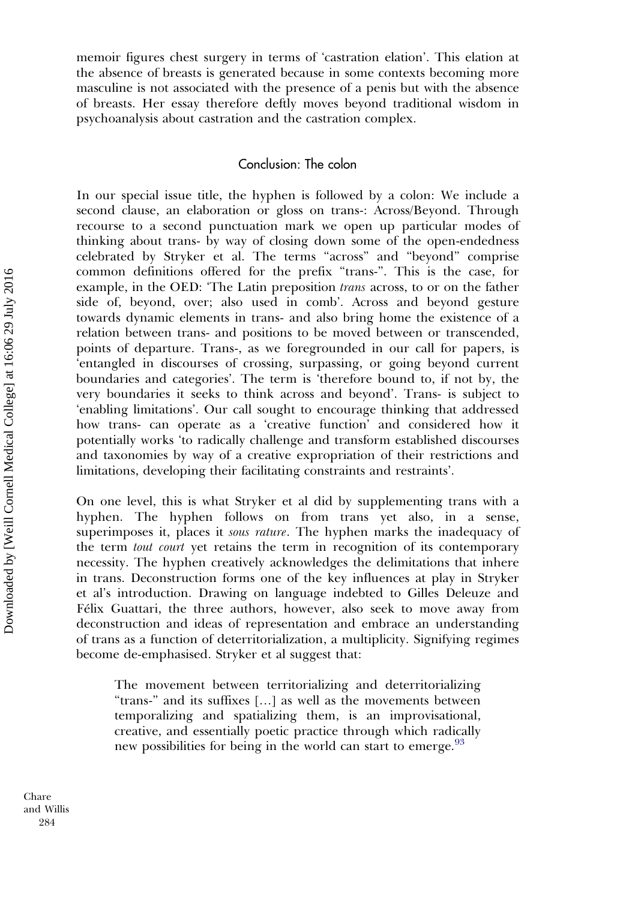memoir figures chest surgery in terms of 'castration elation'. This elation at the absence of breasts is generated because in some contexts becoming more masculine is not associated with the presence of a penis but with the absence of breasts. Her essay therefore deftly moves beyond traditional wisdom in psychoanalysis about castration and the castration complex.

# Conclusion: The colon

In our special issue title, the hyphen is followed by a colon: We include a second clause, an elaboration or gloss on trans-: Across/Beyond. Through recourse to a second punctuation mark we open up particular modes of thinking about trans- by way of closing down some of the open-endedness celebrated by Stryker et al. The terms "across" and "beyond" comprise common definitions offered for the prefix "trans-". This is the case, for example, in the OED: 'The Latin preposition *trans* across, to or on the father side of, beyond, over; also used in comb'. Across and beyond gesture towards dynamic elements in trans- and also bring home the existence of a relation between trans- and positions to be moved between or transcended, points of departure. Trans-, as we foregrounded in our call for papers, is 'entangled in discourses of crossing, surpassing, or going beyond current boundaries and categories'. The term is 'therefore bound to, if not by, the very boundaries it seeks to think across and beyond'. Trans- is subject to 'enabling limitations'. Our call sought to encourage thinking that addressed how trans- can operate as a 'creative function' and considered how it potentially works 'to radically challenge and transform established discourses and taxonomies by way of a creative expropriation of their restrictions and limitations, developing their facilitating constraints and restraints'.

On one level, this is what Stryker et al did by supplementing trans with a hyphen. The hyphen follows on from trans yet also, in a sense, superimposes it, places it sous rature. The hyphen marks the inadequacy of the term *tout court* yet retains the term in recognition of its contemporary necessity. The hyphen creatively acknowledges the delimitations that inhere in trans. Deconstruction forms one of the key influences at play in Stryker et al's introduction. Drawing on language indebted to Gilles Deleuze and Félix Guattari, the three authors, however, also seek to move away from deconstruction and ideas of representation and embrace an understanding of trans as a function of deterritorialization, a multiplicity. Signifying regimes become de-emphasised. Stryker et al suggest that:

The movement between territorializing and deterritorializing "trans-" and its suffixes […] as well as the movements between temporalizing and spatializing them, is an improvisational, creative, and essentially poetic practice through which radically new possibilities for being in the world can start to emerge.<sup>[93](#page-21-0)</sup>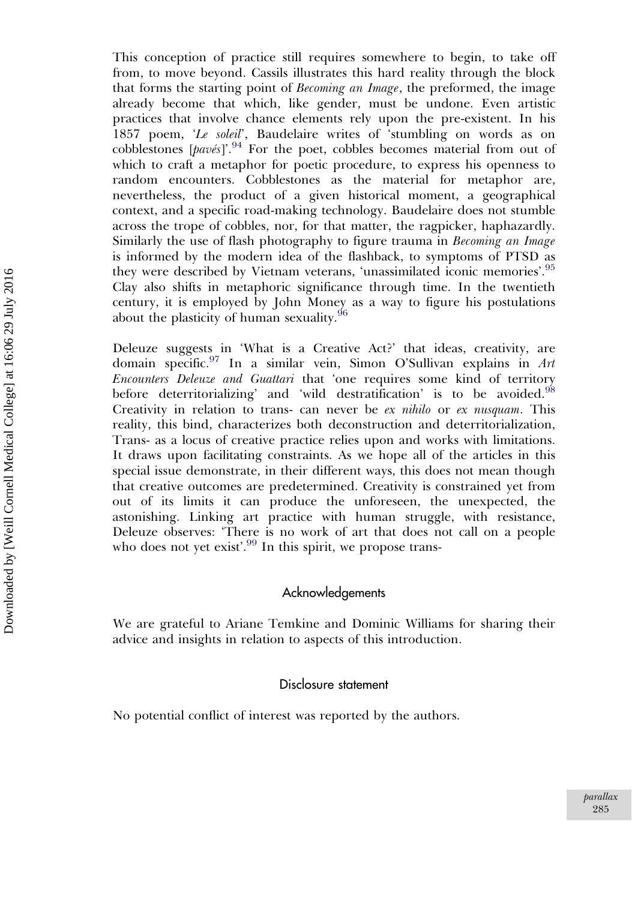This conception of practice still requires somewhere to begin, to take off from, to move beyond. Cassils illustrates this hard reality through the block that forms the starting point of Becoming an Image, the preformed, the image already become that which, like gender, must be undone. Even artistic practices that involve chance elements rely upon the pre-existent. In his 1857 poem, 'Le soleil', Baudelaire writes of 'stumbling on words as on cobblestones [pavés]<sup>'. [94](#page-21-0)</sup> For the poet, cobbles becomes material from out of which to craft a metaphor for poetic procedure, to express his openness to random encounters. Cobblestones as the material for metaphor are, nevertheless, the product of a given historical moment, a geographical context, and a specific road-making technology. Baudelaire does not stumble across the trope of cobbles, nor, for that matter, the ragpicker, haphazardly. Similarly the use of flash photography to figure trauma in Becoming an Image is informed by the modern idea of the flashback, to symptoms of PTSD as they were described by Vietnam veterans, 'unassimilated iconic memories'.<sup>[95](#page-21-0)</sup> Clay also shifts in metaphoric significance through time. In the twentieth century, it is employed by John Money as a way to figure his postulations about the plasticity of human sexuality.<sup>[96](#page-21-0)</sup>

Deleuze suggests in 'What is a Creative Act?' that ideas, creativity, are domain specific.<sup>[97](#page-21-0)</sup> In a similar vein, Simon O'Sullivan explains in Art Encounters Deleuze and Guattari that 'one requires some kind of territory before deterritorializing' and 'wild destratification' is to be avoided.<sup>[98](#page-21-0)</sup> Creativity in relation to trans- can never be ex nihilo or ex nusquam. This reality, this bind, characterizes both deconstruction and deterritorialization, Trans- as a locus of creative practice relies upon and works with limitations. It draws upon facilitating constraints. As we hope all of the articles in this special issue demonstrate, in their different ways, this does not mean though that creative outcomes are predetermined. Creativity is constrained yet from out of its limits it can produce the unforeseen, the unexpected, the astonishing. Linking art practice with human struggle, with resistance, Deleuze observes: 'There is no work of art that does not call on a people who does not yet exist'.<sup>[99](#page-21-0)</sup> In this spirit, we propose trans-

#### Acknowledgements

We are grateful to Ariane Temkine and Dominic Williams for sharing their advice and insights in relation to aspects of this introduction.

#### Disclosure statement

No potential conflict of interest was reported by the authors.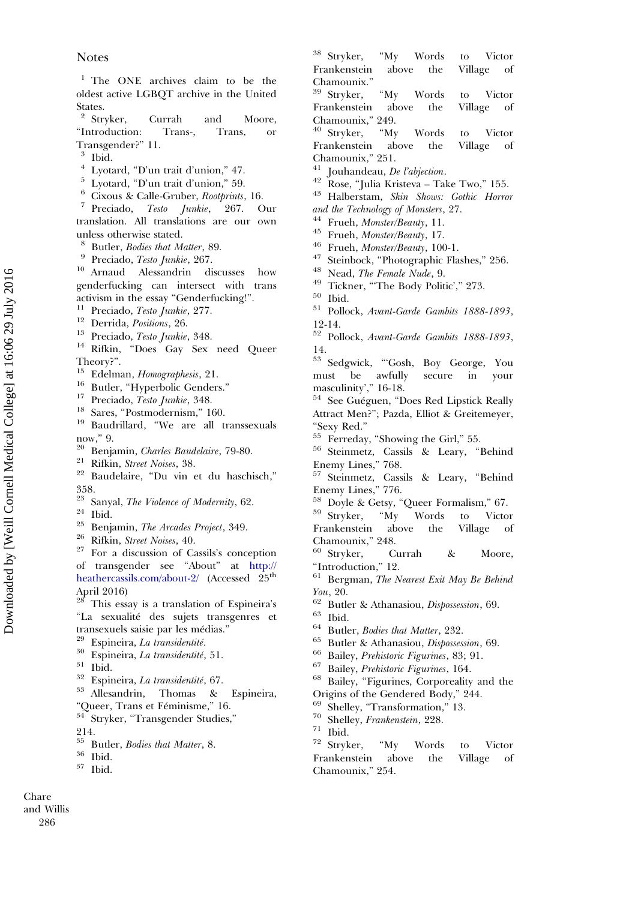#### <span id="page-20-0"></span>Notes

<sup>1</sup> The ONE archives claim to be the oldest active LGBQT archive in the United States.

<sup>2</sup> Stryker, Currah and Moore, "Introduction: Trans-, Trans, or

- 
- 
- 
- 
- Transgender?" 11.<br>
<sup>3</sup> Ibid.<br>
<sup>4</sup> Lyotard, "D'un trait d'union," 47.<br>
<sup>5</sup> Lyotard, "D'un trait d'union," 59.<br>
<sup>6</sup> Cixous & Calle-Gruber, *Rootprints*, 16.<br>
<sup>7</sup> Preciado, *Testo Junkie*, 267. Our translation. All translations are our own unless otherwise stated.
- 
- 

<sup>8</sup> Butler, *Bodies that Matter*, 89.<br><sup>9</sup> Preciado, *Testo Junkie*, 267.<br><sup>10</sup> Arnaud Alessandrin discusses how genderfucking can intersect with trans

- 
- 
- 
- activism in the essay "Genderfucking!".<br>
<sup>11</sup> Preciado, *Testo Junkie*, 277.<br>
<sup>12</sup> Derrida, *Positions*, 26.<br>
<sup>13</sup> Preciado, *Testo Junkie*, 348.<br>
<sup>14</sup> Rifkin, "Does Gay Sex need Queer
- 
- 
- 
- 
- Theory?".<br>
<sup>15</sup> Edelman, *Homographesis*, 21.<br>
<sup>16</sup> Butler, "Hyperbolic Genders."<br>
<sup>17</sup> Preciado, *Testo Junkie*, 348.<br>
<sup>18</sup> Sares, "Postmodernism," 160.<br>
<sup>19</sup> Baudrillard, "We are all transsexuals<br>
now." 9.
- 
- 
- <sup>20</sup> Benjamin, *Charles Baudelaire*, 79-80.<br><sup>21</sup> Rifkin, *Street Noises*, 38.<br><sup>22</sup> Baudelaire, "Du vin et du haschisch,"  $\frac{358}{23}$ .
- 
- 
- 
- 
- <sup>23</sup> Sanyal, *The Violence of Modernity*, 62.<br>
<sup>24</sup> Ibid. <sup>25</sup> Benjamin, *The Arcades Project*, 349.<br>
<sup>26</sup> Rifkin, *Street Noises*, 40.<br>
<sup>27</sup> For a discussion of Cassils's conception of transgender see "About" at [http://](http://heathercassils.com/about-2/) [heathercassils.com/about-2/](http://heathercassils.com/about-2/) (Accessed 25<sup>th</sup> April 2016)

This essay is a translation of Espineira's "La sexualité des sujets transgenres et transexuels saisie par les médias."<br>
<sup>29</sup> Espineira, *La transidentité*, 51.<br>
<sup>31</sup> Ibid.<br>
<sup>32</sup> Espineira, *La transidentité*, 67.<br>
<sup>33</sup> Allesandrin, Thomas & Espineira,

- 
- 
- 
- 
- 
- 
- "Queer, Trans et Féminisme," 16. <sup>34</sup> Stryker, "Transgender Studies,"
- 214.
- $35$  Butler, *Bodies that Matter*, 8.  $36$  Ibid.  $37$  Ibid.
- 
- 

- <sup>38</sup> Stryker, "My Words to Victor Frankenstein above the Village of
- Chamounix." <sup>39</sup> Stryker, "My Words to Victor Frankenstein above the Village of Chamounix," 249. <sup>40</sup> Stryker, "My Words to Victor
- Frankenstein above the Village of
- 
- 
- Chamounix," 251.<br><sup>41</sup> Jouhandeau, *De l'abjection*.<br><sup>42</sup> Rose, "Julia Kristeva Take Two," 155.<br><sup>43</sup> Halberstam, *Skin Shows: Gothic Horror*
- 
- 
- 
- 
- 
- 
- 
- and the Technology of Monsters, 27.<br>
<sup>44</sup> Frueh, Monster/Beauty, 11.<br>
<sup>45</sup> Frueh, Monster/Beauty, 17.<br>
<sup>46</sup> Frueh, Monster/Beauty, 100-1.<br>
<sup>47</sup> Steinbock, "Photographic Flashes," 256.<br>
<sup>48</sup> Nead, *The Female Nude*, 9.<br>
<sup>49</sup> 12-14.
- <sup>52</sup> Pollock, Avant-Garde Gambits 1888-1893, 14.
- <sup>53</sup> Sedgwick, "'Gosh, Boy George, You must be awfully secure in your masculinity'," 16-18.
- 54 See Guéguen, "Does Red Lipstick Really Attract Men?"; Pazda, Elliot & Greitemeyer,
- 
- "Sexy Red." <sup>55</sup> Ferreday, "Showing the Girl," 55. <sup>56</sup> Steinmetz, Cassils & Leary, "Behind
- Enemy Lines," 768.<br>
<sup>57</sup> Steinmetz, Cassils & Leary, "Behind<br>
Enemy Lines," 776.
- 
- $^{58}$  Doyle & Getsy, "Queer Formalism," 67.<br> $^{59}$  Stryker, "My Words to Victor Frankenstein above the Village of
- Chamounix," 248. <sup>60</sup> Stryker, Currah & Moore,
- "Introduction," 12.<br><sup>61</sup> Bergman, *The Nearest Exit May Be Behind*
- *You*, 20.<br>
<sup>62</sup> Butler & Athanasiou, *Dispossession*, 69.<br>
<sup>63</sup> Ibid.<br>
<sup>64</sup> Butler, *Bodies that Matter*, 232.<br>
<sup>65</sup> Butler & Athanasiou, *Dispossession*, 69.<br>
<sup>66</sup> Bailey, *Prehistoric Figurines*, 83; 91.<br>
<sup>67</sup> Bailey,
- 
- 
- 
- 
- 
- 
- 
- 
- 
- 
- Origins of the Gendered Body," 244.<br>  $^{69}$  Shelley, "Transformation," 13.<br>  $^{70}$  Shelley, *Frankenstein*, 228.<br>  $^{71}$  Ibid.<br>  $^{72}$  Stryker, "My Words to Victor Frankenstein above the Village of Chamounix," 254.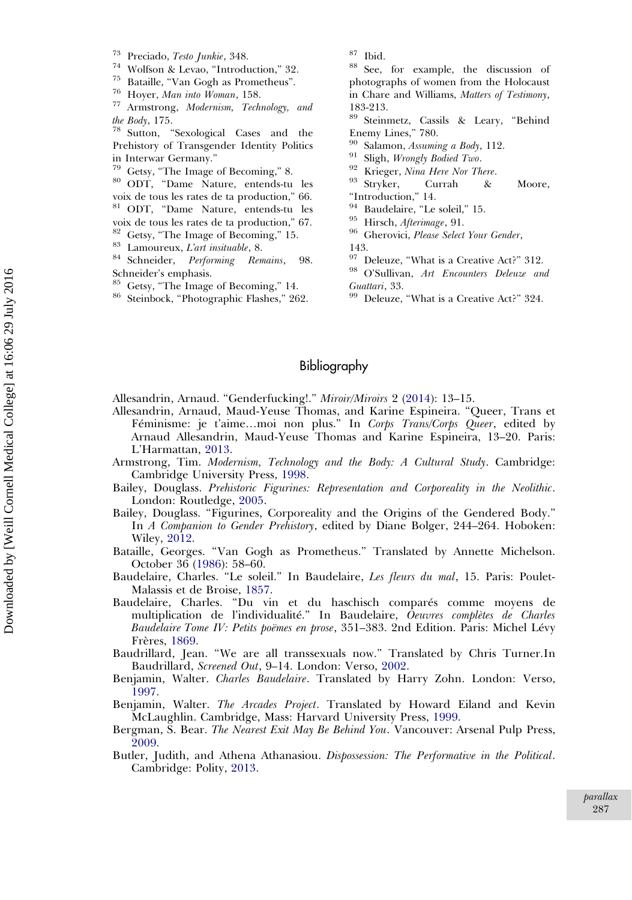- 
- 

- 
- <span id="page-21-0"></span><sup>73</sup> Preciado, *Testo Junkie*, 348.<br><sup>74</sup> Wolfson & Levao, "Introduction," 32.<br><sup>75</sup> Bataille, "Van Gogh as Prometheus".<br><sup>76</sup> Hoyer, *Man into Woman*, 158.<br><sup>77</sup> Armstrong, *Modernism, Technology, and*
- the Body, 175.<br><sup>78</sup> Sutton, "Sexological Cases and the Prehistory of Transgender Identity Politics
- 

in Interwar Germany." <sup>79</sup> Getsy, "The Image of Becoming," 8. <sup>80</sup> ODT, "Dame Nature, entends-tu les voix de tous les rates de ta production," 66. <sup>81</sup> ODT, "Dame Nature, entends-tu les voix de tous les rates de ta production," 67.<br>
<sup>82</sup> Getsy, "The Image of Becoming," 15.<br>
<sup>83</sup> Lamoureux, *L'art insituable*, 8.<br>
<sup>84</sup> Schneider, *Performing Remains*, 98.

- 
- 
- Schneider's emphasis.<br><sup>85</sup> Getsy, "The Image of Becoming," 14.<br><sup>86</sup> Steinbock, "Photographic Flashes," 262.
- 
- 

- <sup>87</sup> Ibid. <sup>88</sup> See, for example, the discussion of photographs of women from the Holocaust in Chare and Williams, Matters of Testimony, 183-213.
- <sup>89</sup> Steinmetz, Cassils & Leary, "Behind<br>Enemy Lines," 780.
	-
- 
- 
- <sup>90</sup> Salamon, *Assuming a Body*, 112.<br>
<sup>91</sup> Sligh, *Wrongly Bodied Two.*<br>
<sup>92</sup> Krieger, *Nina Here Nor There.*<br>
<sup>93</sup> Stryker, Currah & Moore,<br>
"Introduction," 14.
- 
- 
- <sup>94</sup> Baudelaire, "Le soleil," 15.<br><sup>95</sup> Hirsch, Afterimage, 91.<br><sup>96</sup> Gherovici, *Please Select Your Gender*,
- 143.<br><sup>97</sup> Deleuze, "What is a Creative Act?" 312.
- $98$  O'Sullivan, Art Encounters Deleuze and
- Guattari, 33.<br><sup>99</sup> Deleuze, "What is a Creative Act?" 324.

### Bibliography

Allesandrin, Arnaud. "Genderfucking!." Miroir/Miroirs 2 (2014): 13–15.

- Allesandrin, Arnaud, Maud-Yeuse Thomas, and Karine Espineira. "Queer, Trans et Féminisme: je t'aime...moi non plus." In Corps Trans/Corps Queer, edited by Arnaud Allesandrin, Maud-Yeuse Thomas and Karine Espineira, 13–20. Paris: L'Harmattan, 2013.
- Armstrong, Tim. Modernism, Technology and the Body: A Cultural Study. Cambridge: Cambridge University Press, 1998.
- Bailey, Douglass. Prehistoric Figurines: Representation and Corporeality in the Neolithic. London: Routledge, 2005.
- Bailey, Douglass. "Figurines, Corporeality and the Origins of the Gendered Body." In A Companion to Gender Prehistory, edited by Diane Bolger, 244–264. Hoboken: Wiley, 2012.
- Bataille, Georges. "Van Gogh as Prometheus." Translated by Annette Michelson. October 36 (1986): 58–60.
- Baudelaire, Charles. "Le soleil." In Baudelaire, Les fleurs du mal, 15. Paris: Poulet-Malassis et de Broise, 1857.
- Baudelaire, Charles. "Du vin et du haschisch comparés comme moyens de multiplication de l'individualité." In Baudelaire, Oeuvres complètes de Charles Baudelaire Tome IV: Petits poëmes en prose, 351-383. 2nd Edition. Paris: Michel Lévy Frères, 1869.
- Baudrillard, Jean. "We are all transsexuals now." Translated by Chris Turner.In Baudrillard, Screened Out, 9–14. London: Verso, 2002.
- Benjamin, Walter. Charles Baudelaire. Translated by Harry Zohn. London: Verso, 1997.
- Benjamin, Walter. The Arcades Project. Translated by Howard Eiland and Kevin McLaughlin. Cambridge, Mass: Harvard University Press, 1999.
- Bergman, S. Bear. The Nearest Exit May Be Behind You. Vancouver: Arsenal Pulp Press, 2009.
- Butler, Judith, and Athena Athanasiou. Dispossession: The Performative in the Political. Cambridge: Polity, 2013.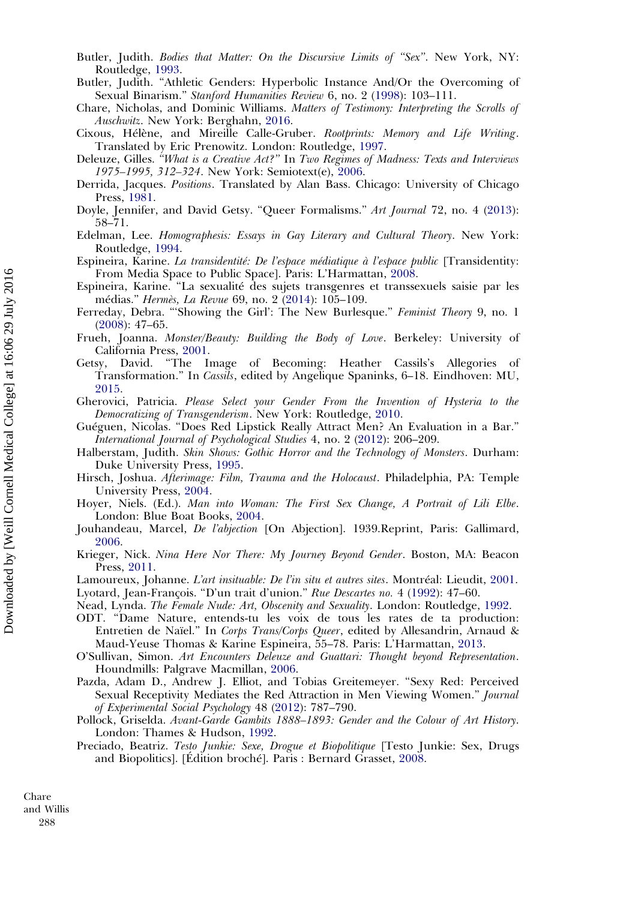- Butler, Judith. Bodies that Matter: On the Discursive Limits of "Sex". New York, NY: Routledge, 1993.
- Butler, Judith. "Athletic Genders: Hyperbolic Instance And/Or the Overcoming of Sexual Binarism." Stanford Humanities Review 6, no. 2 (1998): 103-111.
- Chare, Nicholas, and Dominic Williams. Matters of Testimony: Interpreting the Scrolls of Auschwitz. New York: Berghahn, 2016.
- Cixous, Hélène, and Mireille Calle-Gruber. Rootprints: Memory and Life Writing. Translated by Eric Prenowitz. London: Routledge, 1997.
- Deleuze, Gilles. "What is a Creative Act?" In Two Regimes of Madness: Texts and Interviews 1975–1995, 312–324. New York: Semiotext(e), 2006.
- Derrida, Jacques. Positions. Translated by Alan Bass. Chicago: University of Chicago Press, 1981.
- Doyle, Jennifer, and David Getsy. "Queer Formalisms." Art Journal 72, no. 4 (2013): 58–71.
- Edelman, Lee. Homographesis: Essays in Gay Literary and Cultural Theory. New York: Routledge, 1994.
- Espineira, Karine. La transidentité: De l'espace médiatique à l'espace public [Transidentity: From Media Space to Public Space]. Paris: L'Harmattan, 2008.
- Espineira, Karine. "La sexualité des sujets transgenres et transsexuels saisie par les médias." Hermès, La Revue 69, no. 2 (2014): 105–109.
- Ferreday, Debra. "'Showing the Girl': The New Burlesque." Feminist Theory 9, no. 1 (2008): 47–65.
- Frueh, Joanna. Monster/Beauty: Building the Body of Love. Berkeley: University of California Press, 2001.
- Getsy, David. "The Image of Becoming: Heather Cassils's Allegories of Transformation." In Cassils, edited by Angelique Spaninks, 6–18. Eindhoven: MU, 2015.
- Gherovici, Patricia. Please Select your Gender From the Invention of Hysteria to the Democratizing of Transgenderism. New York: Routledge, 2010.
- Guéguen, Nicolas. "Does Red Lipstick Really Attract Men? An Evaluation in a Bar." International Journal of Psychological Studies 4, no. 2 (2012): 206–209.
- Halberstam, Judith. Skin Shows: Gothic Horror and the Technology of Monsters. Durham: Duke University Press, 1995.
- Hirsch, Joshua. Afterimage: Film, Trauma and the Holocaust. Philadelphia, PA: Temple University Press, 2004.
- Hoyer, Niels. (Ed.). Man into Woman: The First Sex Change, A Portrait of Lili Elbe. London: Blue Boat Books, 2004.
- Jouhandeau, Marcel, De l'abjection [On Abjection]. 1939.Reprint, Paris: Gallimard, 2006.
- Krieger, Nick. Nina Here Nor There: My Journey Beyond Gender. Boston, MA: Beacon Press, 2011.
- Lamoureux, Johanne. L'art insituable: De l'in situ et autres sites. Montréal: Lieudit, 2001.
- Lyotard, Jean-François. "D'un trait d'union." Rue Descartes no. 4 (1992): 47–60.
- Nead, Lynda. The Female Nude: Art, Obscenity and Sexuality. London: Routledge, 1992.
- ODT. "Dame Nature, entends-tu les voix de tous les rates de ta production: Entretien de Naïel." In Corps Trans/Corps Queer, edited by Allesandrin, Arnaud & Maud-Yeuse Thomas & Karine Espineira, 55–78. Paris: L'Harmattan, 2013.
- O'Sullivan, Simon. Art Encounters Deleuze and Guattari: Thought beyond Representation. Houndmills: Palgrave Macmillan, 2006.
- Pazda, Adam D., Andrew J. Elliot, and Tobias Greitemeyer. "Sexy Red: Perceived Sexual Receptivity Mediates the Red Attraction in Men Viewing Women." Journal of Experimental Social Psychology 48 (2012): 787–790.
- Pollock, Griselda. Avant-Garde Gambits 1888–1893: Gender and the Colour of Art History. London: Thames & Hudson, 1992.
- Preciado, Beatriz. Testo Junkie: Sexe, Drogue et Biopolitique [Testo Junkie: Sex, Drugs and Biopolitics]. [Édition broché]. Paris : Bernard Grasset, 2008.